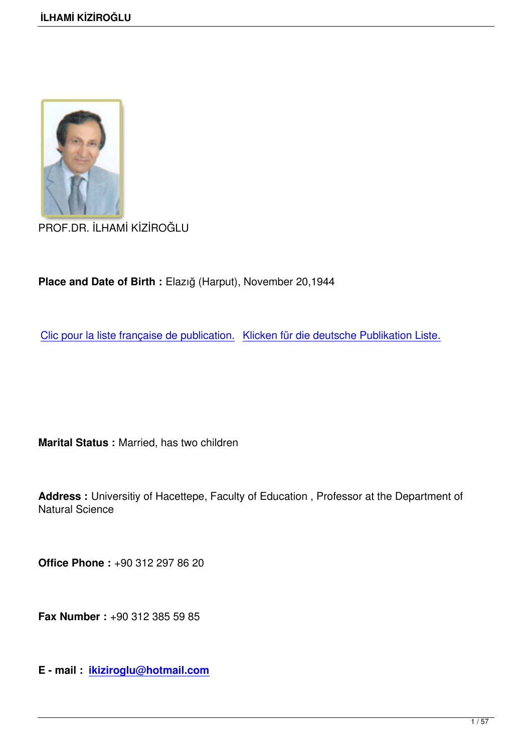

PROF.DR. İLHAMİ KİZİROĞLU

**Place and Date of Birth :** Elazığ (Harput), November 20,1944

Clic pour la liste française de publication. Klicken für die deutsche Publikation Liste.

**Marital Status :** Married, has two children

**Address :** Universitiy of Hacettepe, Faculty of Education , Professor at the Department of Natural Science

**Office Phone :** +90 312 297 86 20

**Fax Number :** +90 312 385 59 85

**E - mail : ikiziroglu@hotmail.com**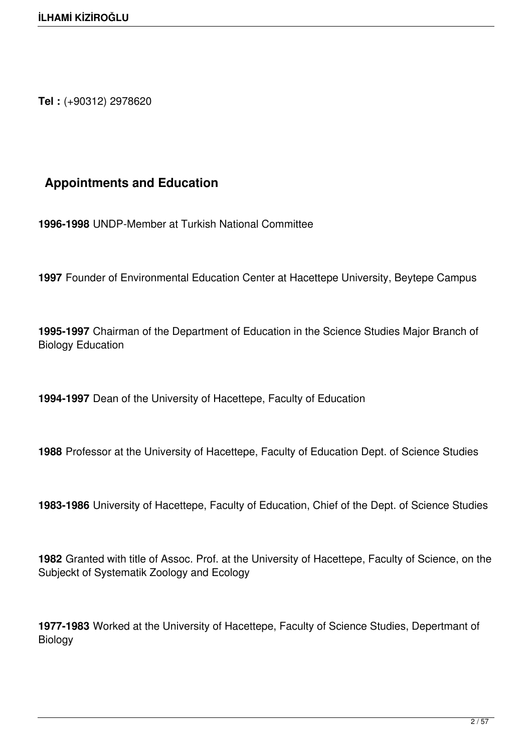**Tel :** (+90312) 2978620

# **Appointments and Education**

**1996-1998** UNDP-Member at Turkish National Committee

**1997** Founder of Environmental Education Center at Hacettepe University, Beytepe Campus

**1995-1997** Chairman of the Department of Education in the Science Studies Major Branch of Biology Education

**1994-1997** Dean of the University of Hacettepe, Faculty of Education

**1988** Professor at the University of Hacettepe, Faculty of Education Dept. of Science Studies

**1983-1986** University of Hacettepe, Faculty of Education, Chief of the Dept. of Science Studies

**1982** Granted with title of Assoc. Prof. at the University of Hacettepe, Faculty of Science, on the Subjeckt of Systematik Zoology and Ecology

**1977-1983** Worked at the University of Hacettepe, Faculty of Science Studies, Depertmant of Biology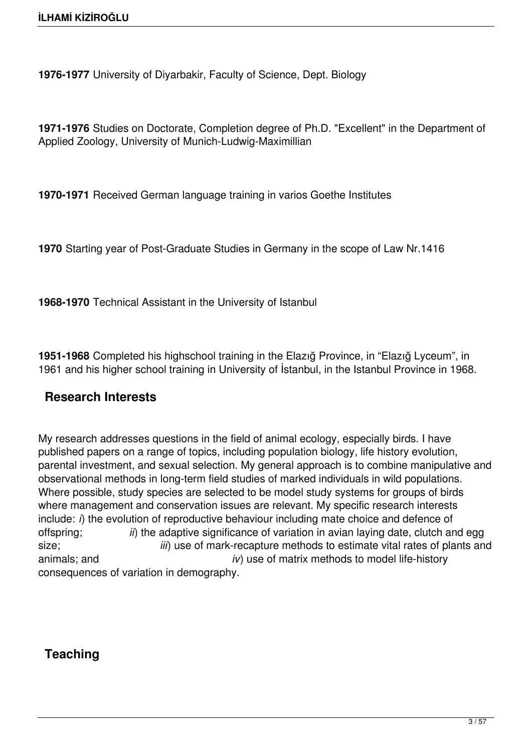**1976-1977** University of Diyarbakir, Faculty of Science, Dept. Biology

**1971-1976** Studies on Doctorate, Completion degree of Ph.D. "Excellent" in the Department of Applied Zoology, University of Munich-Ludwig-Maximillian

**1970-1971** Received German language training in varios Goethe Institutes

**1970** Starting year of Post-Graduate Studies in Germany in the scope of Law Nr.1416

**1968-1970** Technical Assistant in the University of Istanbul

**1951-1968** Completed his highschool training in the Elazığ Province, in "Elazığ Lyceum", in 1961 and his higher school training in University of İstanbul, in the Istanbul Province in 1968.

## **Research Interests**

My research addresses questions in the field of animal ecology, especially birds. I have published papers on a range of topics, including population biology, life history evolution, parental investment, and sexual selection. My general approach is to combine manipulative and observational methods in long-term field studies of marked individuals in wild populations. Where possible, study species are selected to be model study systems for groups of birds where management and conservation issues are relevant. My specific research interests include: *i*) the evolution of reproductive behaviour including mate choice and defence of offspring; *ii*) the adaptive significance of variation in avian laying date, clutch and egg size; *iii*) use of mark-recapture methods to estimate vital rates of plants and animals; and *iv*) use of matrix methods to model life-history consequences of variation in demography.

## **Teaching**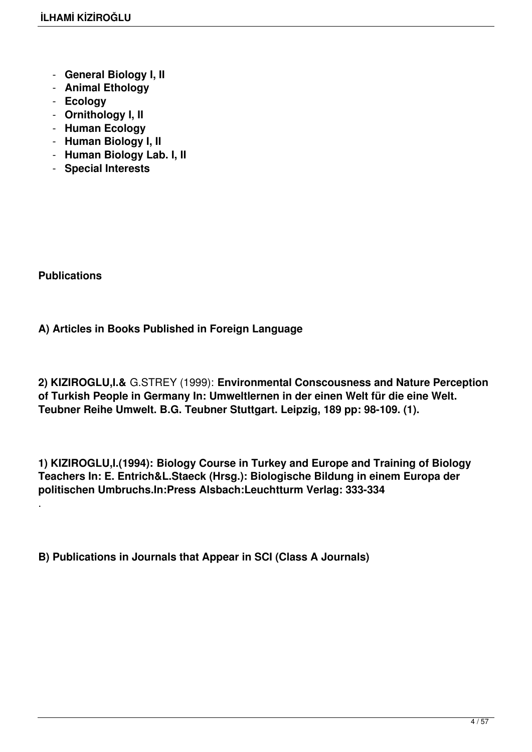- **General Biology I, II**
- **Animal Ethology**
- **Ecology**
- **Ornithology I, II**
- **Human Ecology**
- **Human Biology I, II**
- **Human Biology Lab. I, II**
- **Special Interests**

**Publications**

.

**A) Articles in Books Published in Foreign Language**

**2) KIZIROGLU,I.&** G.STREY (1999): **Environmental Conscousness and Nature Perception of Turkish People in Germany In: Umweltlernen in der einen Welt für die eine Welt. Teubner Reihe Umwelt. B.G. Teubner Stuttgart. Leipzig, 189 pp: 98-109. (1).**

**1) KIZIROGLU,I.(1994): Biology Course in Turkey and Europe and Training of Biology Teachers In: E. Entrich&L.Staeck (Hrsg.): Biologische Bildung in einem Europa der politischen Umbruchs.In:Press Alsbach:Leuchtturm Verlag: 333-334**

**B) Publications in Journals that Appear in SCI (Class A Journals)**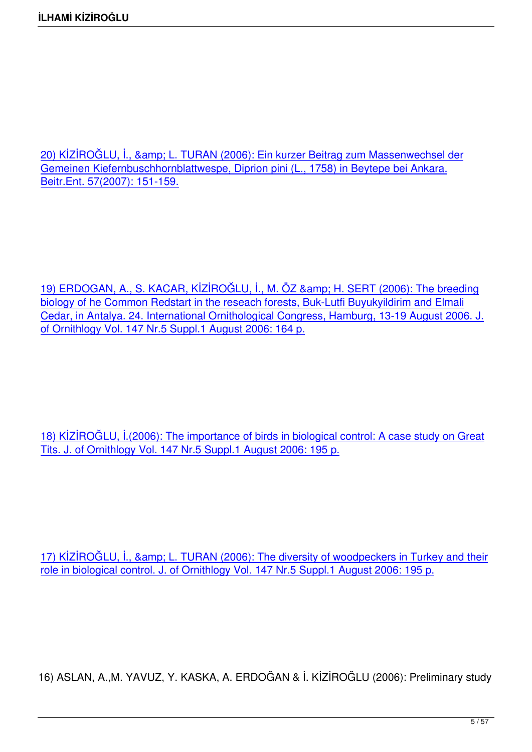20) KİZİROĞLU, İ., & amp; L. TURAN (2006): Ein kurzer Beitrag zum Massenwechsel der Gemeinen Kiefernbuschhornblattwespe, Diprion pini (L., 1758) in Beytepe bei Ankara. Beitr.Ent. 57(2007): 151-159.

19) ERDOGAN, A., S. KACAR, KİZİROĞLU, İ., M. ÖZ & amp; H. SERT (2006): The breeding biology of he Common Redstart in the reseach forests, Buk-Lutfi Buyukyildirim and Elmali Cedar, in Antalya. 24. International Ornithological Congress, Hamburg, 13-19 August 2006. J. [of Ornithlogy Vol. 147 Nr.5 Suppl.1 August 2006: 164 p.](http://yayin.ikziroglu.com/fulltext.pdf)

18) KİZİROĞLU, İ.(2006): The importance of birds in biological control: A case study on Great Tits. J. of Ornithlogy Vol. 147 Nr.5 Suppl.1 August 2006: 195 p.

17) KİZİROĞLU, İ., & amp; L. TURAN (2006): The diversity of woodpeckers in Turkey and their role in biological control. J. of Ornithlogy Vol. 147 Nr.5 Suppl.1 August 2006: 195 p.

16) ASLAN, A.,M. YAVUZ, Y. KASKA, A. ERDOĞAN & İ. KİZİROĞLU (2006): Preliminary study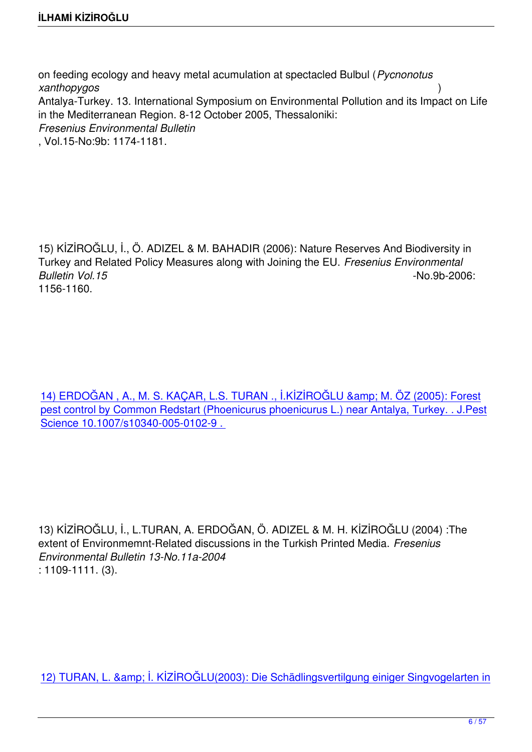on feeding ecology and heavy metal acumulation at spectacled Bulbul (*Pycnonotus xanthopygos* ) Antalya-Turkey. 13. International Symposium on Environmental Pollution and its Impact on Life in the Mediterranean Region. 8-12 October 2005, Thessaloniki: *Fresenius Environmental Bulletin* , Vol.15-No:9b: 1174-1181.

15) KİZİROĞLU, İ., Ö. ADIZEL & M. BAHADIR (2006): Nature Reserves And Biodiversity in Turkey and Related Policy Measures along with Joining the EU. *Fresenius Environmental Bulletin Vol.15* - No.9b-2006: 1156-1160.

14) ERDOĞAN, A., M. S. KAÇAR, L.S. TURAN ., İ.KİZİROĞLU & amp; M. ÖZ (2005): Forest pest control by Common Redstart (Phoenicurus phoenicurus L.) near Antalya, Turkey. . J.Pest Science 10.1007/s10340-005-0102-9 .

13) KİZİROĞLU, İ., L.TURAN, A. ERDOĞAN, Ö. ADIZEL & M. H. KİZİROĞLU (2004) :The extent of Environmemnt-Related discussions in the Turkish Printed Media. *Fresenius Environmental Bulletin 13-No.11a-2004* : 1109-1111. (3).

12) TURAN, L. & amp; İ. KİZİROĞLU(2003): Die Schädlingsvertilgung einiger Singvogelarten in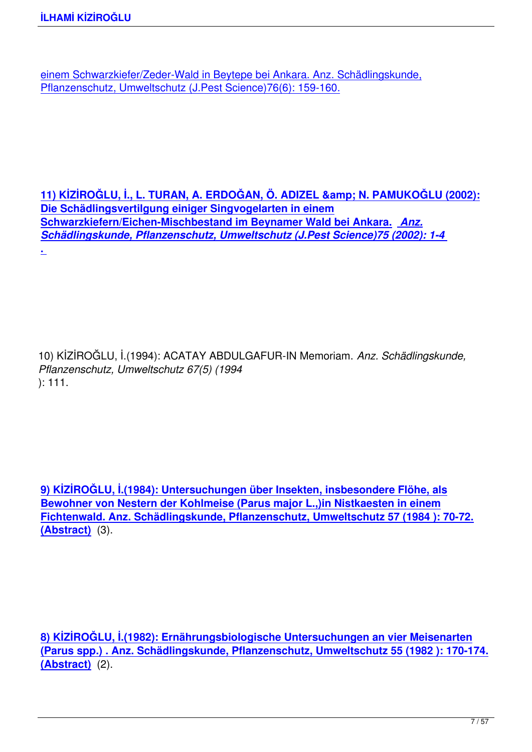einem Schwarzkiefer/Zeder-Wald in Beytepe bei Ankara. Anz. Schädlingskunde, Pflanzenschutz, Umweltschutz (J.Pest Science)76(6): 159-160.

**11) KİZİROĞLU, İ., L. TURAN, A. ERDOĞAN, Ö. ADIZEL & N. PAMUKOĞLU (2002): Die Schädlingsvertilgung einiger Singvogelarten in einem Schwarzkiefern/Eichen-Mischbestand im Beynamer Wald bei Ankara.** *Anz. [Schädlingskunde, Pflanzenschutz, Umweltschutz \(J.Pest Science\)75 \(2002\): 1-4](http://www.ikiziroglu.com/beynamer.pdf)*  **[.](http://www.ikiziroglu.com/beynamer.pdf)** 

10) KİZİROĞLU, İ.(1994): ACATAY ABDULGAFUR-IN Memoriam. *Anz. Schädlingskunde, Pflanzenschutz, Umweltschutz 67(5) (1994* ): 111.

**9) KİZİROĞLU, İ.(1984): Untersuchungen über Insekten, insbesondere Flöhe, als Bewohner von Nestern der Kohlmeise (Parus major L.,)in Nistkaesten in einem Fichtenwald. Anz. Schädlingskunde, Pflanzenschutz, Umweltschutz 57 (1984 ): 70-72. [\(Abstract\)](http://yayin.ikiziroglu.com/Kohlmeise.doc)** (3).

**8) KİZİROĞLU, İ.(1982): Ernährungsbiologische Untersuchungen an vier Meisenarten (Parus spp.) . Anz. Schädlingskunde, Pflanzenschutz, Umweltschutz 55 (1982 ): 170-174. (Abstract)** (2).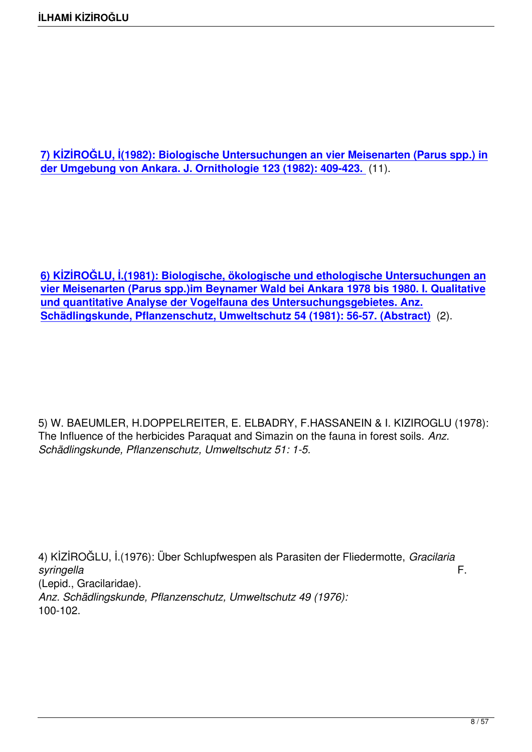**7) KİZİROĞLU, İ(1982): Biologische Untersuchungen an vier Meisenarten (Parus spp.) in der Umgebung von Ankara. J. Ornithologie 123 (1982): 409-423.** (11).

**6) KİZİROĞLU, İ.(1981): Biologische, ökologische und ethologische Untersuchungen an vier Meisenarten (Parus spp.)im Beynamer Wald bei Ankara 1978 bis 1980. I. Qualitative und quantitative Analyse der Vogelfauna des Untersuchungsgebietes. Anz. [Schädlingskunde, Pflanzenschutz, Umweltschutz 54 \(1981\): 56-57. \(Abstract\)](http://yayin.ikiziroglu.com/Parus.doc)** (2).

5) W. BAEUMLER, H.DOPPELREITER, E. ELBADRY, F.HASSANEIN & I. KIZIROGLU (1978): The Influence of the herbicides Paraquat and Simazin on the fauna in forest soils. *Anz. Schädlingskunde, Pflanzenschutz, Umweltschutz 51: 1-5.* 

4) KİZİROĞLU, İ.(1976): Über Schlupfwespen als Parasiten der Fliedermotte, *Gracilaria syringella* F. (Lepid., Gracilaridae). *Anz. Schädlingskunde, Pflanzenschutz, Umweltschutz 49 (1976):*  100-102.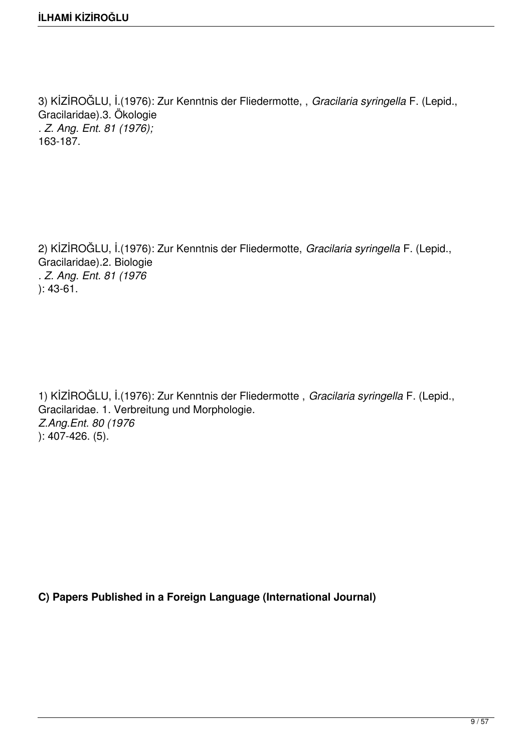3) KİZİROĞLU, İ.(1976): Zur Kenntnis der Fliedermotte, , *Gracilaria syringella* F. (Lepid., Gracilaridae).3. Ökologie *. Z. Ang. Ent. 81 (1976);* 163-187.

2) KİZİROĞLU, İ.(1976): Zur Kenntnis der Fliedermotte, *Gracilaria syringella* F. (Lepid., Gracilaridae).2. Biologie *. Z. Ang. Ent. 81 (1976* ): 43-61.

1) KİZİROĞLU, İ.(1976): Zur Kenntnis der Fliedermotte , *Gracilaria syringella* F. (Lepid., Gracilaridae. 1. Verbreitung und Morphologie. *Z.Ang.Ent. 80 (1976* ): 407-426. (5).

**C) Papers Published in a Foreign Language (International Journal)**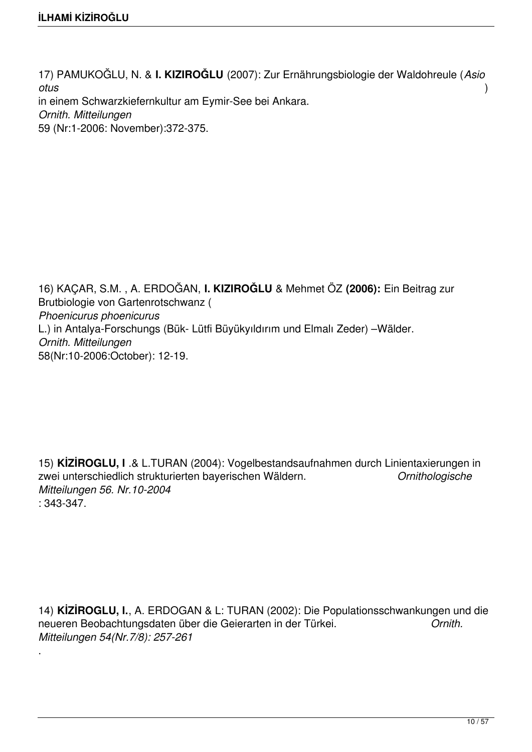.

17) PAMUKOĞLU, N. & **I. KIZIROĞLU** (2007): Zur Ernährungsbiologie der Waldohreule (*Asio otus* ) in einem Schwarzkiefernkultur am Eymir-See bei Ankara. *Ornith. Mitteilungen* 59 (Nr:1-2006: November):372-375.

16) KAÇAR, S.M. , A. ERDOĞAN, **I. KIZIROĞLU** & Mehmet ÖZ **(2006):** Ein Beitrag zur Brutbiologie von Gartenrotschwanz ( *Phoenicurus phoenicurus* L.) in Antalya-Forschungs (Bük- Lütfi Büyükyıldırım und Elmalı Zeder) –Wälder. *Ornith. Mitteilungen* 58(Nr:10-2006:October): 12-19.

15) **KİZİROGLU, I** .& L.TURAN (2004): Vogelbestandsaufnahmen durch Linientaxierungen in zwei unterschiedlich strukturierten bayerischen Wäldern. *Ornithologische Mitteilungen 56. Nr.10-2004* : 343-347.

14) **KİZİROGLU, I.**, A. ERDOGAN & L: TURAN (2002): Die Populationsschwankungen und die neueren Beobachtungsdaten über die Geierarten in der Türkei. *Ornith. Mitteilungen 54(Nr.7/8): 257-261*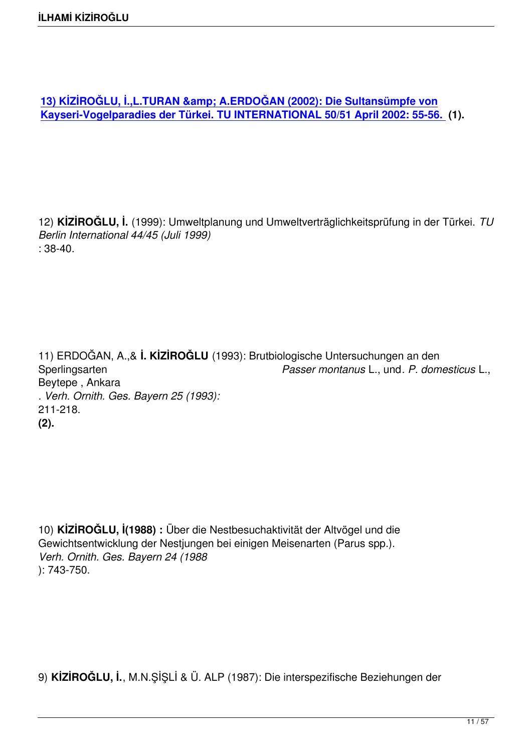**13) KİZİROĞLU, İ.,L.TURAN & A.ERDOĞAN (2002): Die Sultansümpfe von Kayseri-Vogelparadies der Türkei. TU INTERNATIONAL 50/51 April 2002: 55-56. (1).**

12) **KİZİROĞLU, İ.** (1999): Umweltplanung und Umweltverträglichkeitsprüfung in der Türkei. *TU Berlin International 44/45 (Juli 1999)* : 38-40.

11) ERDOĞAN, A.,& **İ. KİZİROĞLU** (1993): Brutbiologische Untersuchungen an den Passer montanus L., und. P. domesticus L., Beytepe , Ankara *. Verh. Ornith. Ges. Bayern 25 (1993):* 211-218. **(2).**

10) **KİZİROĞLU, İ(1988) :** Über die Nestbesuchaktivität der Altvögel und die Gewichtsentwicklung der Nestjungen bei einigen Meisenarten (Parus spp.). *Verh. Ornith. Ges. Bayern 24 (1988* ): 743-750.

9) **KİZİROĞLU, İ.**, M.N.ŞİŞLİ & Ü. ALP (1987): Die interspezifische Beziehungen der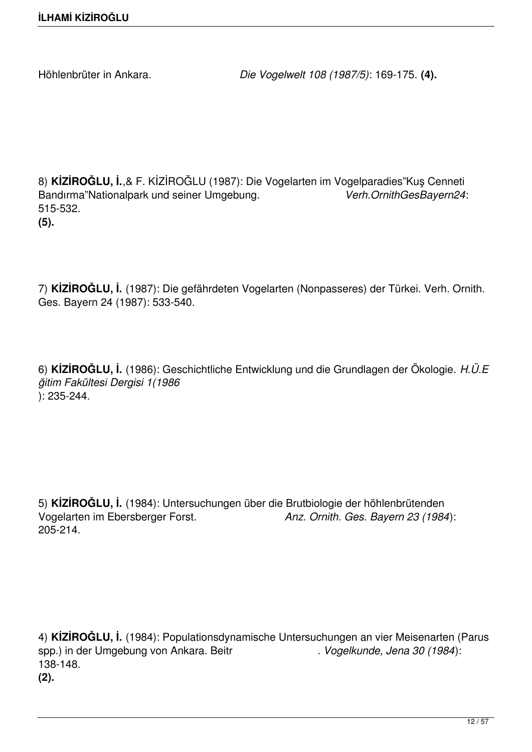Höhlenbrüter in Ankara. *Die Vogelwelt 108 (1987/5)*: 169-175. **(4).**

8) **KİZİROĞLU, İ.**,& F. KİZİROĞLU (1987): Die Vogelarten im Vogelparadies"Kuş Cenneti Bandırma"Nationalpark und seiner Umgebung. 515-532. **(5).**

7) **KİZİROĞLU, İ.** (1987): Die gefährdeten Vogelarten (Nonpasseres) der Türkei. Verh. Ornith. Ges. Bayern 24 (1987): 533-540.

6) **KİZİROĞLU, İ.** (1986): Geschichtliche Entwicklung und die Grundlagen der Ökologie. *H.Ü.E ğitim Fakültesi Dergisi 1(1986* ): 235-244.

5) **KİZİROĞLU, İ.** (1984): Untersuchungen über die Brutbiologie der höhlenbrütenden Anz. Ornith. Ges. Bayern 23 (1984): 205-214.

4) **KİZİROĞLU, İ.** (1984): Populationsdynamische Untersuchungen an vier Meisenarten (Parus spp.) in der Umgebung von Ankara. Beitr 138-148. **(2).**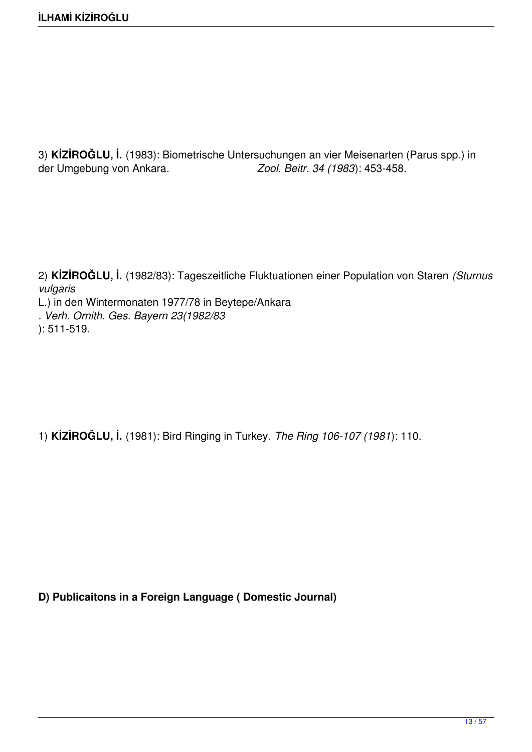3) **KİZİROĞLU, İ.** (1983): Biometrische Untersuchungen an vier Meisenarten (Parus spp.) in Zool. Beitr. 34 (1983): 453-458.

2) **KİZİROĞLU, İ.** (1982/83): Tageszeitliche Fluktuationen einer Population von Staren *(Sturnus vulgaris* L.) in den Wintermonaten 1977/78 in Beytepe/Ankara *. Verh. Ornith. Ges. Bayern 23(1982/83* ): 511-519.

1) **KİZİROĞLU, İ.** (1981): Bird Ringing in Turkey. *The Ring 106-107 (1981*): 110.

**D) Publicaitons in a Foreign Language ( Domestic Journal)**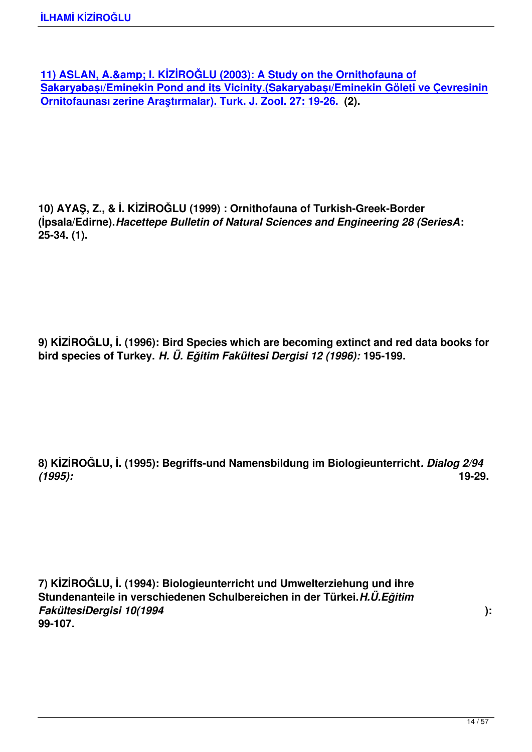11) ASLAN, A.& amp; I. KİZİROĞLU (2003): A Study on the Ornithofauna of **Sakaryabaşı/Eminekin Pond and its Vicinity.(Sakaryabaşı/Eminekin Göleti ve Çevresinin Ornitofaunası zerine Araştırmalar). Turk. J. Zool. 27: 19-26. (2).**

**10) AYAŞ, Z., & İ. KİZİROĞLU (1999) : Ornithofauna of Turkish-Greek-Border (İpsala/Edirne).***Hacettepe Bulletin of Natural Sciences and Engineering 28 (SeriesA***: 25-34. (1).**

**9) KİZİROĞLU, İ. (1996): Bird Species which are becoming extinct and red data books for bird species of Turkey.** *H. Ü. Eğitim Fakültesi Dergisi 12 (1996):* **195-199.** 

**8) KİZİROĞLU, İ. (1995): Begriffs-und Namensbildung im Biologieunterricht***. Dialog 2/94 (1995):* **19-29.** 

**7) KİZİROĞLU, İ. (1994): Biologieunterricht und Umwelterziehung und ihre Stundenanteile in verschiedenen Schulbereichen in der Türkei.***H.Ü.Eğitim FakültesiDergisi 10(1994* **): 99-107.**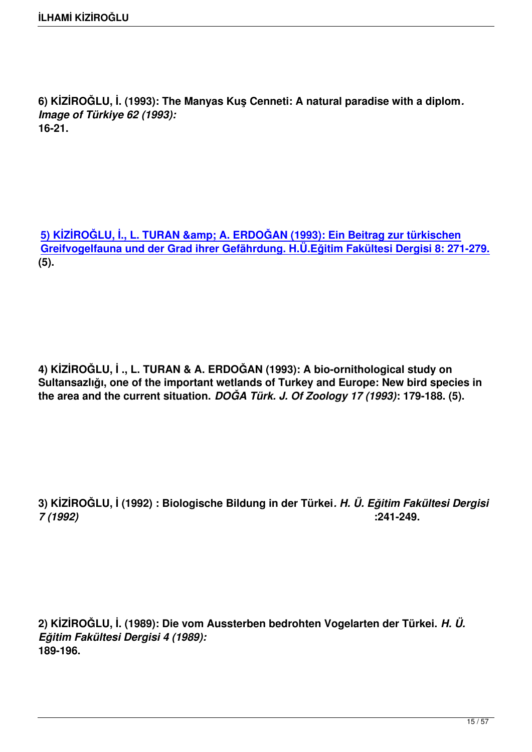**6) KİZİROĞLU, İ. (1993): The Manyas Kuş Cenneti: A natural paradise with a diplom***. Image of Türkiye 62 (1993):* **16-21.** 

**5) KİZİROĞLU, İ., L. TURAN & A. ERDOĞAN (1993): Ein Beitrag zur türkischen Greifvogelfauna und der Grad ihrer Gefährdung. H.Ü.Eğitim Fakültesi Dergisi 8: 271-279. (5).**

**4) KİZİROĞLU, İ ., L. TURAN & A. ERDOĞAN (1993): A bio-ornithological study on Sultansazlığı, one of the important wetlands of Turkey and Europe: New bird species in the area and the current situation.** *DOĞA Türk. J. Of Zoology 17 (1993)***: 179-188. (5).**

**3) KİZİROĞLU, İ (1992) : Biologische Bildung in der Türkei***. H. Ü. Eğitim Fakültesi Dergisi 7 (1992)* **:241-249.** 

**2) KİZİROĞLU, İ. (1989): Die vom Aussterben bedrohten Vogelarten der Türkei.** *H. Ü. Eğitim Fakültesi Dergisi 4 (1989):* **189-196.**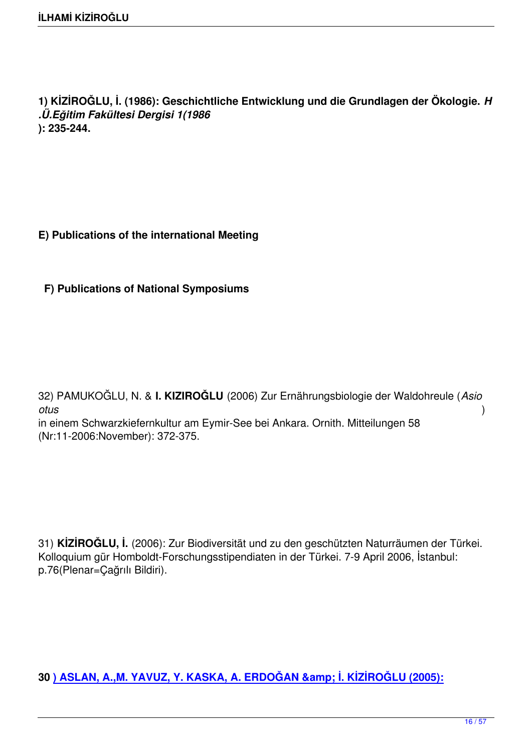**1) KİZİROĞLU, İ. (1986): Geschichtliche Entwicklung und die Grundlagen der Ökologie.** *H .Ü.Eğitim Fakültesi Dergisi 1(1986* **): 235-244.** 

## **E) Publications of the international Meeting**

#### **F) Publications of National Symposiums**

32) PAMUKOĞLU, N. & **I. KIZIROĞLU** (2006) Zur Ernährungsbiologie der Waldohreule (*Asio otus* ) in einem Schwarzkiefernkultur am Eymir-See bei Ankara. Ornith. Mitteilungen 58 (Nr:11-2006:November): 372-375.

31) **KİZİROĞLU, İ.** (2006): Zur Biodiversität und zu den geschützten Naturräumen der Türkei. Kolloquium gür Homboldt-Forschungsstipendiaten in der Türkei. 7-9 April 2006, İstanbul: p.76(Plenar=Çağrılı Bildiri).

**30 ) ASLAN, A.,M. YAVUZ, Y. KASKA, A. ERDOĞAN & İ. KİZİROĞLU (2005):**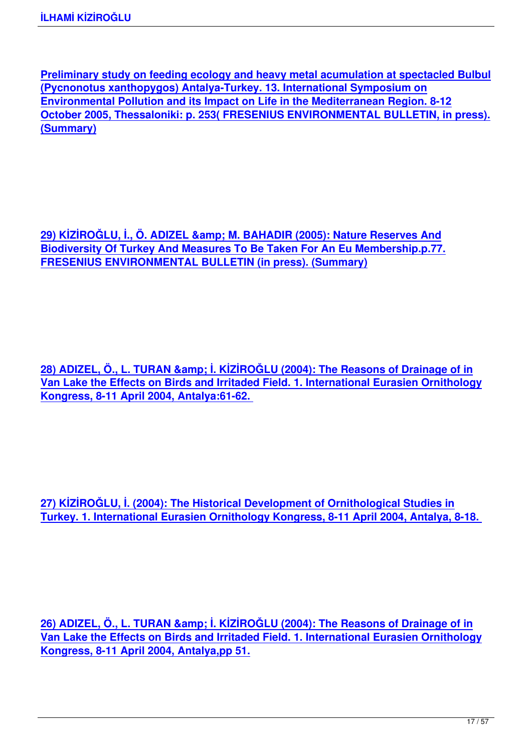**Preliminary study on feeding ecology and heavy metal acumulation at spectacled Bulbul (Pycnonotus xanthopygos) Antalya-Turkey. 13. International Symposium on Environmental Pollution and its Impact on Life in the Mediterranean Region. 8-12 [October 2005, Thessaloniki: p. 253\( FRESENIUS ENVIRONMENTAL BULLETIN, in press\).](http://yayin.ikiziroglu.com/bulbul.doc) [\(Summary\)](http://yayin.ikiziroglu.com/bulbul.doc)**

**29) KİZİROĞLU, İ., Ö. ADIZEL & M. BAHADIR (2005): Nature Reserves And Biodiversity Of Turkey And Measures To Be Taken For An Eu Membership.p.77. FRESENIUS ENVIRONMENTAL BULLETIN (in press). (Summary)**

28) ADIZEL, Ö., L. TURAN & amp; İ. KİZİROĞLU (2004): The Reasons of Drainage of in **Van Lake the Effects on Birds and Irritaded Field. 1. International Eurasien Ornithology Kongress, 8-11 April 2004, Antalya:61-62.** 

**27) KİZİROĞLU, İ. (2004): The Historical Development of Ornithological Studies in Turkey. 1. International Eurasien Ornithology Kongress, 8-11 April 2004, Antalya, 8-18.** 

26) ADIZEL, Ö., L. TURAN & amp; İ. KİZİROĞLU (2004): The Reasons of Drainage of in **Van Lake the Effects on Birds and Irritaded Field. 1. International Eurasien Ornithology Kongress, 8-11 April 2004, Antalya,pp 51.**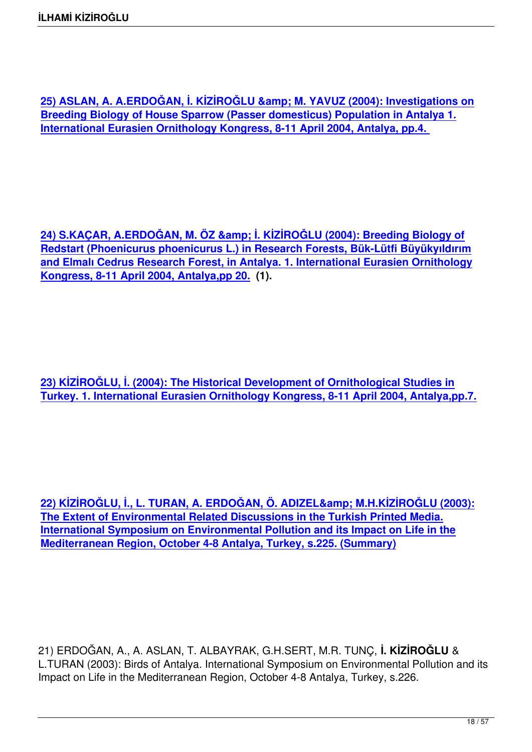25) ASLAN, A. A.ERDOĞAN, İ. KİZİROĞLU & amp; M. YAVUZ (2004): Investigations on **Breeding Biology of House Sparrow (Passer domesticus) Population in Antalya 1. International Eurasien Ornithology Kongress, 8-11 April 2004, Antalya, pp.4.** 

**24) S.KAÇAR, A.ERDOĞAN, M. ÖZ & İ. KİZİROĞLU (2004): Breeding Biology of Redstart (Phoenicurus phoenicurus L.) in Research Forests, Bük-Lütfi Büyükyıldırım and Elmalı Cedrus Research Forest, in Antalya. 1. International Eurasien Ornithology [Kongress, 8-11 April 2004, Antalya,pp 20.](http://yayin.ikiziroglu.com/Abstract_book_of_1st_IEOC.pdf) (1).**

**23) KİZİROĞLU, İ. (2004): The Historical Development of Ornithological Studies in Turkey. 1. International Eurasien Ornithology Kongress, 8-11 April 2004, Antalya,pp.7.**

22) KİZİROĞLU, İ., L. TURAN, A. ERDOĞAN, Ö. ADIZEL& amp; M.H.KİZİROĞLU (2003): **The Extent of Environmental Related Discussions in the Turkish Printed Media. International Symposium on Environmental Pollution and its Impact on Life in the [Mediterranean Region, October 4-8 Antalya, Turkey, s.225. \(Summary\)](http://yayin.ikiziroglu.com/media.doc)**

21) ERDOĞAN, A., A. ASLAN, T. ALBAYRAK, G.H.SERT, M.R. TUNÇ, **İ. KİZİROĞLU** & L.TURAN (2003): Birds of Antalya. International Symposium on Environmental Pollution and its Impact on Life in the Mediterranean Region, October 4-8 Antalya, Turkey, s.226.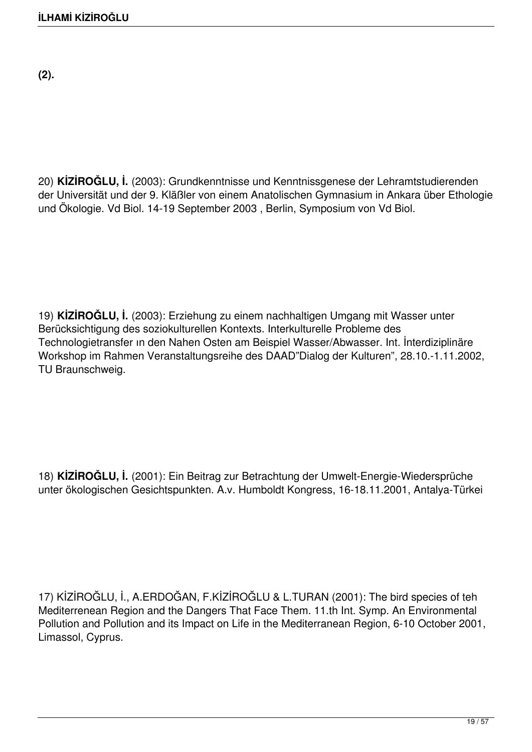**(2).**

20) **KİZİROĞLU, İ.** (2003): Grundkenntnisse und Kenntnissgenese der Lehramtstudierenden der Universität und der 9. Kläßler von einem Anatolischen Gymnasium in Ankara über Ethologie und Ökologie. Vd Biol. 14-19 September 2003 , Berlin, Symposium von Vd Biol.

19) **KİZİROĞLU, İ.** (2003): Erziehung zu einem nachhaltigen Umgang mit Wasser unter Berücksichtigung des soziokulturellen Kontexts. Interkulturelle Probleme des Technologietransfer ın den Nahen Osten am Beispiel Wasser/Abwasser. Int. İnterdiziplinäre Workshop im Rahmen Veranstaltungsreihe des DAAD"Dialog der Kulturen", 28.10.-1.11.2002, TU Braunschweig.

18) **KİZİROĞLU, İ.** (2001): Ein Beitrag zur Betrachtung der Umwelt-Energie-Wiedersprüche unter ökologischen Gesichtspunkten. A.v. Humboldt Kongress, 16-18.11.2001, Antalya-Türkei

17) KİZİROĞLU, İ., A.ERDOĞAN, F.KİZİROĞLU & L.TURAN (2001): The bird species of teh Mediterrenean Region and the Dangers That Face Them. 11.th Int. Symp. An Environmental Pollution and Pollution and its Impact on Life in the Mediterranean Region, 6-10 October 2001, Limassol, Cyprus.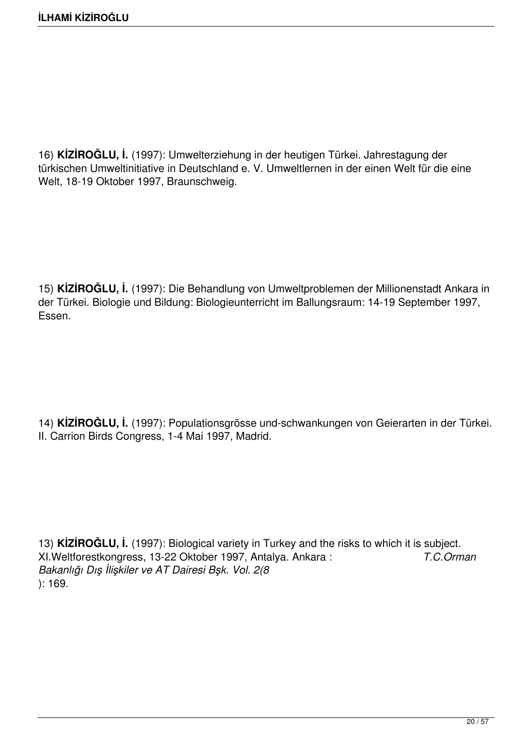16) **KİZİROĞLU, İ.** (1997): Umwelterziehung in der heutigen Türkei. Jahrestagung der türkischen Umweltinitiative in Deutschland e. V. Umweltlernen in der einen Welt für die eine Welt, 18-19 Oktober 1997, Braunschweig.

15) **KİZİROĞLU, İ.** (1997): Die Behandlung von Umweltproblemen der Millionenstadt Ankara in der Türkei. Biologie und Bildung: Biologieunterricht im Ballungsraum: 14-19 September 1997, Essen.

14) **KİZİROĞLU, İ.** (1997): Populationsgrösse und-schwankungen von Geierarten in der Türkei. II. Carrion Birds Congress, 1-4 Mai 1997, Madrid.

13) **KİZİROĞLU, İ.** (1997): Biological variety in Turkey and the risks to which it is subject. XI.Weltforestkongress, 13-22 Oktober 1997, Antalya. Ankara : *T.C.Orman Bakanlığı Dış İlişkiler ve AT Dairesi Bşk. Vol. 2(8* ): 169.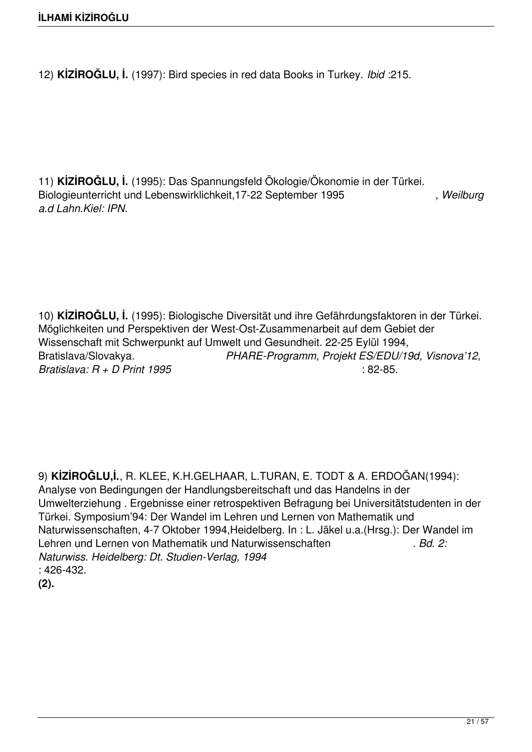12) **KİZİROĞLU, İ.** (1997): Bird species in red data Books in Turkey. *Ibid* :215.

11) **KİZİROĞLU, İ.** (1995): Das Spannungsfeld Ökologie/Ökonomie in der Türkei. Biologieunterricht und Lebenswirklichkeit,17-22 September 1995 *, Weilburg a.d Lahn.Kiel: IPN.* 

10) **KİZİROĞLU, İ.** (1995): Biologische Diversität und ihre Gefährdungsfaktoren in der Türkei. Möglichkeiten und Perspektiven der West-Ost-Zusammenarbeit auf dem Gebiet der Wissenschaft mit Schwerpunkt auf Umwelt und Gesundheit. 22-25 Eylül 1994, Bratislava/Slovakya. *PHARE-Programm, Projekt ES/EDU/19d, Visnova'12, Bratislava: R + D Print 1995* : 82-85.

9) **KİZİROĞLU,İ.**, R. KLEE, K.H.GELHAAR, L.TURAN, E. TODT & A. ERDOĞAN(1994): Analyse von Bedingungen der Handlungsbereitschaft und das Handelns in der Umwelterziehung . Ergebnisse einer retrospektiven Befragung bei Universitätstudenten in der Türkei. Symposium'94: Der Wandel im Lehren und Lernen von Mathematik und Naturwissenschaften, 4-7 Oktober 1994,Heidelberg. In : L. Jäkel u.a.(Hrsg.): Der Wandel im Lehren und Lernen von Mathematik und Naturwissenschaften *. Bd. 2: Naturwiss. Heidelberg: Dt. Studien-Verlag, 1994* : 426-432. **(2).**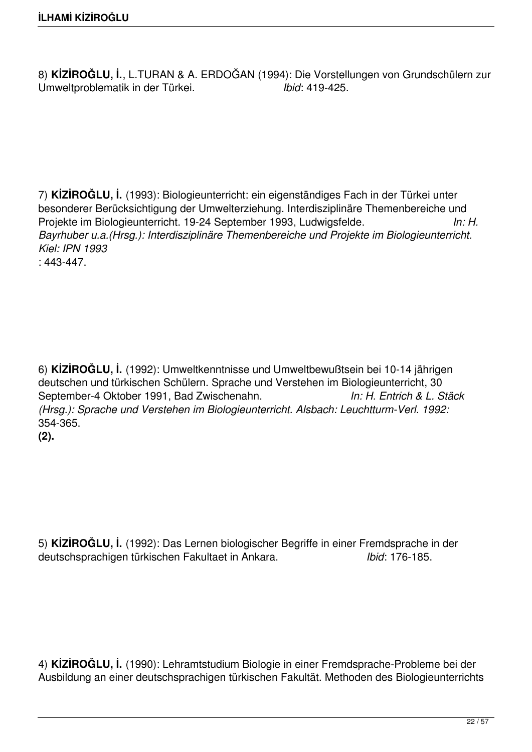8) **KİZİROĞLU, İ.**, L.TURAN & A. ERDOĞAN (1994): Die Vorstellungen von Grundschülern zur Umweltproblematik in der Türkei.

7) **KİZİROĞLU, İ.** (1993): Biologieunterricht: ein eigenständiges Fach in der Türkei unter besonderer Berücksichtigung der Umwelterziehung. Interdisziplinäre Themenbereiche und Projekte im Biologieunterricht. 19-24 September 1993, Ludwigsfelde. *In: H. Bayrhuber u.a.(Hrsg.): Interdisziplinäre Themenbereiche und Projekte im Biologieunterricht. Kiel: IPN 1993* : 443-447.

6) **KİZİROĞLU, İ.** (1992): Umweltkenntnisse und Umweltbewußtsein bei 10-14 jährigen deutschen und türkischen Schülern. Sprache und Verstehen im Biologieunterricht, 30 September-4 Oktober 1991, Bad Zwischenahn. *In: H. Entrich & L. Stäck (Hrsg.): Sprache und Verstehen im Biologieunterricht. Alsbach: Leuchtturm-Verl. 1992:* 354-365. **(2).**

5) **KİZİROĞLU, İ.** (1992): Das Lernen biologischer Begriffe in einer Fremdsprache in der deutschsprachigen türkischen Fakultaet in Ankara.

4) **KİZİROĞLU, İ.** (1990): Lehramtstudium Biologie in einer Fremdsprache-Probleme bei der Ausbildung an einer deutschsprachigen türkischen Fakultät. Methoden des Biologieunterrichts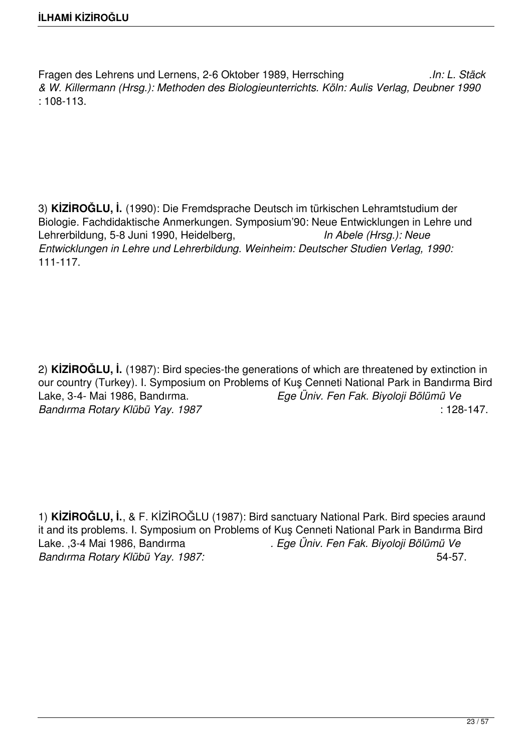Fragen des Lehrens und Lernens, 2-6 Oktober 1989, Herrsching *.In: L. Stäck & W. Killermann (Hrsg.): Methoden des Biologieunterrichts. Köln: Aulis Verlag, Deubner 1990* : 108-113.

3) **KİZİROĞLU, İ.** (1990): Die Fremdsprache Deutsch im türkischen Lehramtstudium der Biologie. Fachdidaktische Anmerkungen. Symposium'90: Neue Entwicklungen in Lehre und Lehrerbildung, 5-8 Juni 1990, Heidelberg, *In Abele (Hrsg.): Neue Entwicklungen in Lehre und Lehrerbildung. Weinheim: Deutscher Studien Verlag, 1990:* 111-117.

2) **KİZİROĞLU, İ.** (1987): Bird species-the generations of which are threatened by extinction in our country (Turkey). I. Symposium on Problems of Kuş Cenneti National Park in Bandırma Bird Lake, 3-4- Mai 1986, Bandırma. *Ege Üniv. Fen Fak. Biyoloji Bölümü Ve Bandırma Rotary Klübü Yay. 1987* : 128-147.

1) **KİZİROĞLU, İ.**, & F. KİZİROĞLU (1987): Bird sanctuary National Park. Bird species araund it and its problems. I. Symposium on Problems of Kuş Cenneti National Park in Bandırma Bird<br>Lake. 3-4 Mai 1986. Bandırma *Bird Bölümü Ve* Lake. ,3-4 Mai 1986, Bandırma *. Ege Üniv. Fen Fak. Biyoloji Bölümü Ve Bandırma Rotary Klübü Yay. 1987:* 54-57.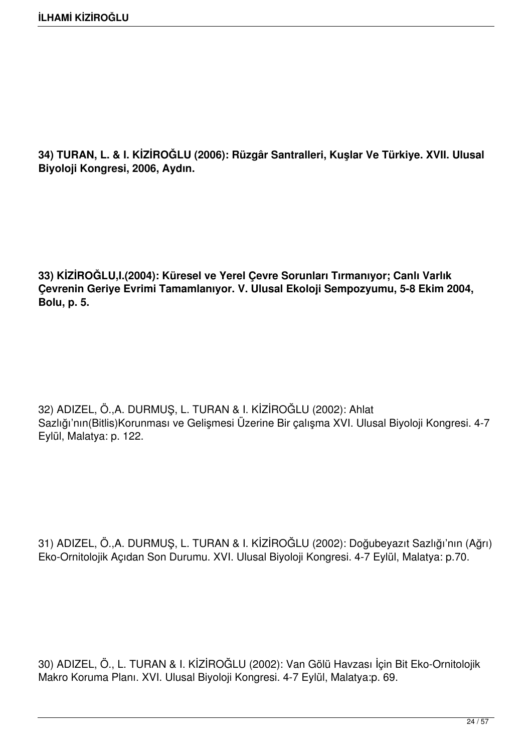**34) TURAN, L. & I. KİZİROĞLU (2006): Rüzgâr Santralleri, Kuşlar Ve Türkiye. XVII. Ulusal Biyoloji Kongresi, 2006, Aydın.**

**33) KİZİROĞLU,I.(2004): Küresel ve Yerel Çevre Sorunları Tırmanıyor; Canlı Varlık Çevrenin Geriye Evrimi Tamamlanıyor. V. Ulusal Ekoloji Sempozyumu, 5-8 Ekim 2004, Bolu, p. 5.** 

32) ADIZEL, Ö.,A. DURMUŞ, L. TURAN & I. KİZİROĞLU (2002): Ahlat Sazlığı'nın(Bitlis)Korunması ve Gelişmesi Üzerine Bir çalışma XVI. Ulusal Biyoloji Kongresi. 4-7 Eylül, Malatya: p. 122.

31) ADIZEL, Ö.,A. DURMUŞ, L. TURAN & I. KİZİROĞLU (2002): Doğubeyazıt Sazlığı'nın (Ağrı) Eko-Ornitolojik Açıdan Son Durumu. XVI. Ulusal Biyoloji Kongresi. 4-7 Eylül, Malatya: p.70.

30) ADIZEL, Ö., L. TURAN & I. KİZİROĞLU (2002): Van Gölü Havzası İçin Bit Eko-Ornitolojik Makro Koruma Planı. XVI. Ulusal Biyoloji Kongresi. 4-7 Eylül, Malatya:p. 69.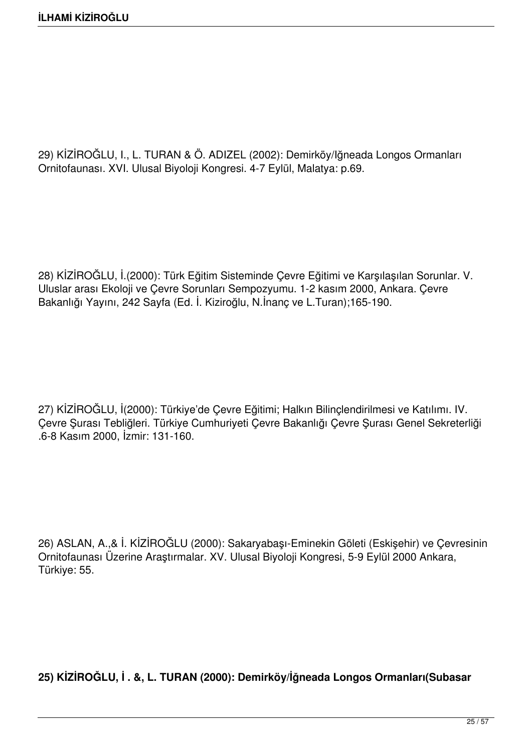29) KİZİROĞLU, I., L. TURAN & Ö. ADIZEL (2002): Demirköy/Iğneada Longos Ormanları Ornitofaunası. XVI. Ulusal Biyoloji Kongresi. 4-7 Eylül, Malatya: p.69.

28) KİZİROĞLU, İ.(2000): Türk Eğitim Sisteminde Çevre Eğitimi ve Karşılaşılan Sorunlar. V. Uluslar arası Ekoloji ve Çevre Sorunları Sempozyumu. 1-2 kasım 2000, Ankara. Çevre Bakanlığı Yayını, 242 Sayfa (Ed. İ. Kiziroğlu, N.İnanç ve L.Turan);165-190.

27) KİZİROĞLU, İ(2000): Türkiye'de Çevre Eğitimi; Halkın Bilinçlendirilmesi ve Katılımı. IV. Çevre Şurası Tebliğleri. Türkiye Cumhuriyeti Çevre Bakanlığı Çevre Şurası Genel Sekreterliği .6-8 Kasım 2000, İzmir: 131-160.

26) ASLAN, A.,& İ. KİZİROĞLU (2000): Sakaryabaşı-Eminekin Göleti (Eskişehir) ve Çevresinin Ornitofaunası Üzerine Araştırmalar. XV. Ulusal Biyoloji Kongresi, 5-9 Eylül 2000 Ankara, Türkiye: 55.

**25) KİZİROĞLU, İ . &, L. TURAN (2000): Demirköy/İğneada Longos Ormanları(Subasar**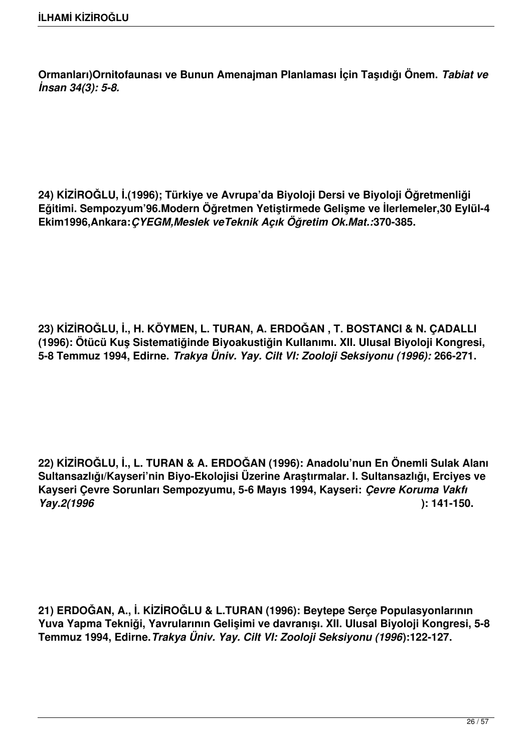**Ormanları)Ornitofaunası ve Bunun Amenajman Planlaması İçin Taşıdığı Önem.** *Tabiat ve İnsan 34(3): 5-8.* 

**24) KİZİROĞLU, İ.(1996); Türkiye ve Avrupa'da Biyoloji Dersi ve Biyoloji Öğretmenliği Eğitimi. Sempozyum'96.Modern Öğretmen Yetiştirmede Gelişme ve İlerlemeler,30 Eylül-4 Ekim1996,Ankara:***ÇYEGM,Meslek veTeknik Açık Öğretim Ok.Mat.:***370-385.** 

**23) KİZİROĞLU, İ., H. KÖYMEN, L. TURAN, A. ERDOĞAN , T. BOSTANCI & N. ÇADALLI (1996): Ötücü Kuş Sistematiğinde Biyoakustiğin Kullanımı. XII. Ulusal Biyoloji Kongresi, 5-8 Temmuz 1994, Edirne.** *Trakya Üniv. Yay. Cilt VI: Zooloji Seksiyonu (1996):* **266-271.** 

**22) KİZİROĞLU, İ., L. TURAN & A. ERDOĞAN (1996): Anadolu'nun En Önemli Sulak Alanı Sultansazlığı/Kayseri'nin Biyo-Ekolojisi Üzerine Araştırmalar. I. Sultansazlığı, Erciyes ve Kayseri Çevre Sorunları Sempozyumu, 5-6 Mayıs 1994, Kayseri:** *Çevre Koruma Vakfı Yay.2(1996* **): 141-150.** 

**21) ERDOĞAN, A., İ. KİZİROĞLU & L.TURAN (1996): Beytepe Serçe Populasyonlarının Yuva Yapma Tekniği, Yavrularının Gelişimi ve davranışı. XII. Ulusal Biyoloji Kongresi, 5-8 Temmuz 1994, Edirne.***Trakya Üniv. Yay. Cilt VI: Zooloji Seksiyonu (1996***):122-127.**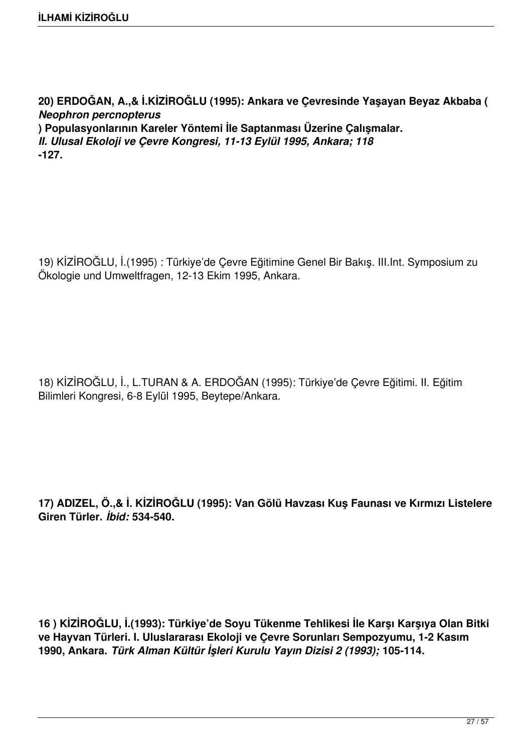**20) ERDOĞAN, A.,& İ.KİZİROĞLU (1995): Ankara ve Çevresinde Yaşayan Beyaz Akbaba (** *Neophron percnopterus* **) Populasyonlarının Kareler Yöntemi İle Saptanması Üzerine Çalışmalar.** 

*II. Ulusal Ekoloji ve Çevre Kongresi, 11-13 Eylül 1995, Ankara; 118* **-127.** 

19) KİZİROĞLU, İ.(1995) : Türkiye'de Çevre Eğitimine Genel Bir Bakış. III.Int. Symposium zu Ökologie und Umweltfragen, 12-13 Ekim 1995, Ankara.

18) KİZİROĞLU, İ., L.TURAN & A. ERDOĞAN (1995): Türkiye'de Çevre Eğitimi. II. Eğitim Bilimleri Kongresi, 6-8 Eylül 1995, Beytepe/Ankara.

**17) ADIZEL, Ö.,& İ. KİZİROĞLU (1995): Van Gölü Havzası Kuş Faunası ve Kırmızı Listelere Giren Türler.** *İbid:* **534-540.** 

**16 ) KİZİROĞLU, İ.(1993): Türkiye'de Soyu Tükenme Tehlikesi İle Karşı Karşıya Olan Bitki ve Hayvan Türleri. I. Uluslararası Ekoloji ve Çevre Sorunları Sempozyumu, 1-2 Kasım 1990, Ankara.** *Türk Alman Kültür İşleri Kurulu Yayın Dizisi 2 (1993);* **105-114.**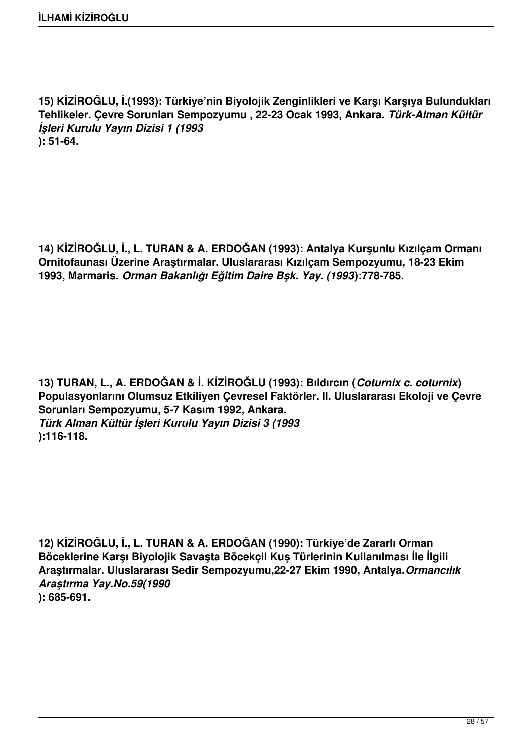**15) KİZİROĞLU, İ.(1993): Türkiye'nin Biyolojik Zenginlikleri ve Karşı Karşıya Bulundukları Tehlikeler. Çevre Sorunları Sempozyumu , 22-23 Ocak 1993, Ankara.** *Türk-Alman Kültür İşleri Kurulu Yayın Dizisi 1 (1993* **): 51-64.** 

**14) KİZİROĞLU, İ., L. TURAN & A. ERDOĞAN (1993): Antalya Kurşunlu Kızılçam Ormanı Ornitofaunası Üzerine Araştırmalar. Uluslararası Kızılçam Sempozyumu, 18-23 Ekim 1993, Marmaris.** *Orman Bakanlığı Eğitim Daire Bşk. Yay. (1993***):778-785.** 

**13) TURAN, L., A. ERDOĞAN & İ. KİZİROĞLU (1993): Bıldırcın (***Coturnix c. coturnix***) Populasyonlarını Olumsuz Etkiliyen Çevresel Faktörler. II. Uluslararası Ekoloji ve Çevre Sorunları Sempozyumu, 5-7 Kasım 1992, Ankara.**  *Türk Alman Kültür İşleri Kurulu Yayın Dizisi 3 (1993* **):116-118.** 

**12) KİZİROĞLU, İ., L. TURAN & A. ERDOĞAN (1990): Türkiye'de Zararlı Orman Böceklerine Karşı Biyolojik Savaşta Böcekçil Kuş Türlerinin Kullanılması İle İlgili Araştırmalar. Uluslararası Sedir Sempozyumu,22-27 Ekim 1990, Antalya.***Ormancılık Araştırma Yay.No.59(1990* **): 685-691.**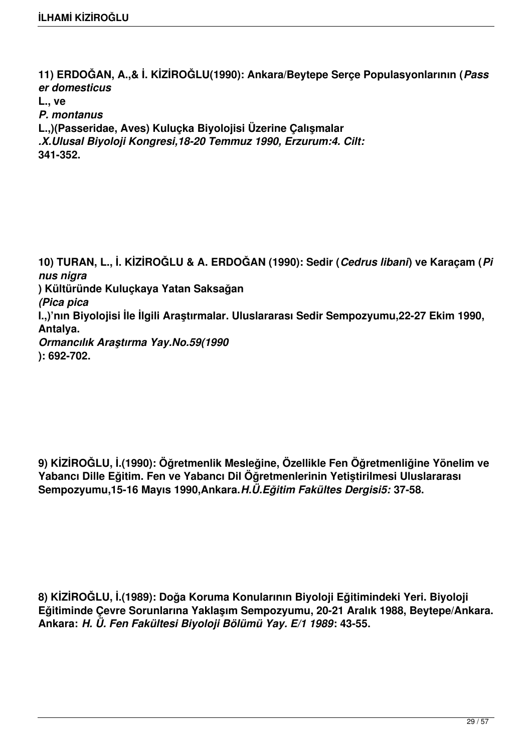**11) ERDOĞAN, A.,& İ. KİZİROĞLU(1990): Ankara/Beytepe Serçe Populasyonlarının (***Pass er domesticus* **L., ve**  *P. montanus* **L.,)(Passeridae, Aves) Kuluçka Biyolojisi Üzerine Çalışmalar** *.X.Ulusal Biyoloji Kongresi,18-20 Temmuz 1990, Erzurum:4. Cilt:* **341-352.** 

**10) TURAN, L., İ. KİZİROĞLU & A. ERDOĞAN (1990): Sedir (***Cedrus libani***) ve Karaçam (***Pi nus nigra* **) Kültüründe Kuluçkaya Yatan Saksağan**  *(Pica pica* **l.,)'nın Biyolojisi İle İlgili Araştırmalar. Uluslararası Sedir Sempozyumu,22-27 Ekim 1990, Antalya.**  *Ormancılık Araştırma Yay.No.59(1990* **): 692-702.** 

**9) KİZİROĞLU, İ.(1990): Öğretmenlik Mesleğine, Özellikle Fen Öğretmenliğine Yönelim ve Yabancı Dille Eğitim. Fen ve Yabancı Dil Öğretmenlerinin Yetiştirilmesi Uluslararası Sempozyumu,15-16 Mayıs 1990,Ankara.***H.Ü.Eğitim Fakültes Dergisi5:* **37-58.** 

**8) KİZİROĞLU, İ.(1989): Doğa Koruma Konularının Biyoloji Eğitimindeki Yeri. Biyoloji Eğitiminde Çevre Sorunlarına Yaklaşım Sempozyumu, 20-21 Aralık 1988, Beytepe/Ankara. Ankara:** *H. Ü. Fen Fakültesi Biyoloji Bölümü Yay. E/1 1989***: 43-55.**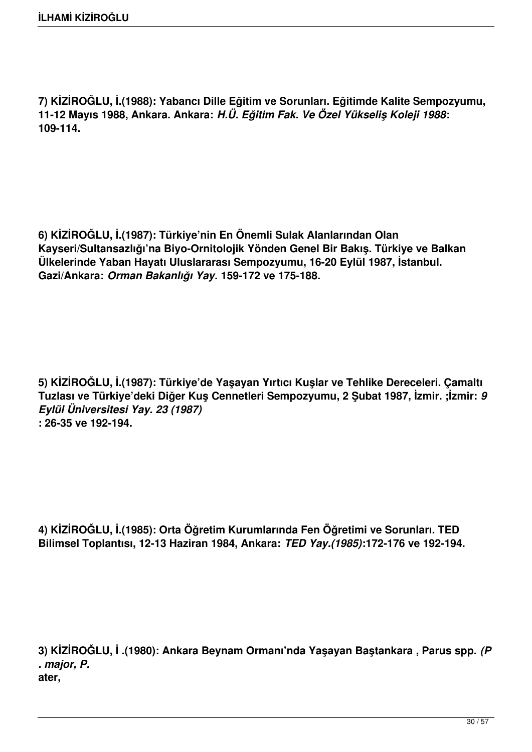**7) KİZİROĞLU, İ.(1988): Yabancı Dille Eğitim ve Sorunları. Eğitimde Kalite Sempozyumu, 11-12 Mayıs 1988, Ankara. Ankara:** *H.Ü. Eğitim Fak. Ve Özel Yükseliş Koleji 1988***: 109-114.** 

**6) KİZİROĞLU, İ.(1987): Türkiye'nin En Önemli Sulak Alanlarından Olan Kayseri/Sultansazlığı'na Biyo-Ornitolojik Yönden Genel Bir Bakış. Türkiye ve Balkan Ülkelerinde Yaban Hayatı Uluslararası Sempozyumu, 16-20 Eylül 1987, İstanbul. Gazi/Ankara:** *Orman Bakanlığı Yay.* **159-172 ve 175-188.** 

**5) KİZİROĞLU, İ.(1987): Türkiye'de Yaşayan Yırtıcı Kuşlar ve Tehlike Dereceleri. Çamaltı Tuzlası ve Türkiye'deki Diğer Kuş Cennetleri Sempozyumu, 2 Şubat 1987, İzmir. ;İzmir:** *9 Eylül Üniversitesi Yay. 23 (1987)* **: 26-35 ve 192-194.** 

**4) KİZİROĞLU, İ.(1985): Orta Öğretim Kurumlarında Fen Öğretimi ve Sorunları. TED Bilimsel Toplantısı, 12-13 Haziran 1984, Ankara:** *TED Yay.(1985)***:172-176 ve 192-194.** 

**3) KİZİROĞLU, İ .(1980): Ankara Beynam Ormanı'nda Yaşayan Baştankara , Parus spp.** *(P . major, P.* **ater,**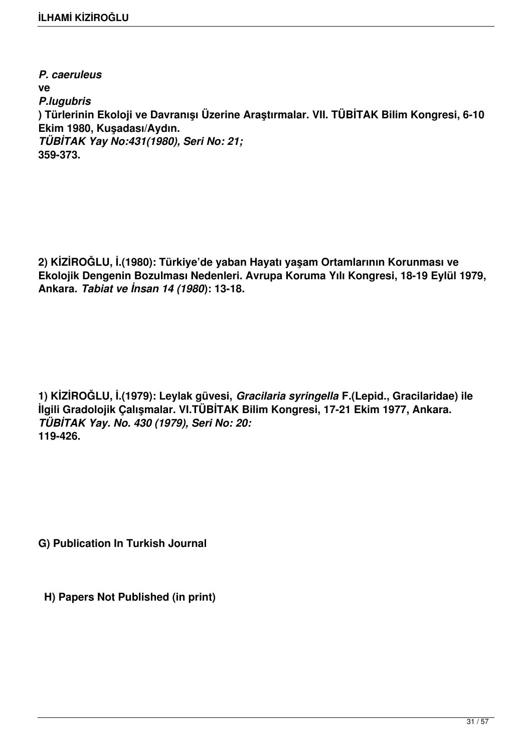*P. caeruleus* **ve**  *P.lugubris* **) Türlerinin Ekoloji ve Davranışı Üzerine Araştırmalar. VII. TÜBİTAK Bilim Kongresi, 6-10 Ekim 1980, Kuşadası/Aydın.**  *TÜBİTAK Yay No:431(1980), Seri No: 21;* **359-373.** 

**2) KİZİROĞLU, İ.(1980): Türkiye'de yaban Hayatı yaşam Ortamlarının Korunması ve Ekolojik Dengenin Bozulması Nedenleri. Avrupa Koruma Yılı Kongresi, 18-19 Eylül 1979, Ankara.** *Tabiat ve İnsan 14 (1980***): 13-18.** 

**1) KİZİROĞLU, İ.(1979): Leylak güvesi,** *Gracilaria syringella* **F.(Lepid., Gracilaridae) ile İlgili Gradolojik Çalışmalar. VI.TÜBİTAK Bilim Kongresi, 17-21 Ekim 1977, Ankara.**  *TÜBİTAK Yay. No. 430 (1979), Seri No: 20:* **119-426.** 

**G) Publication In Turkish Journal**

**H) Papers Not Published (in print)**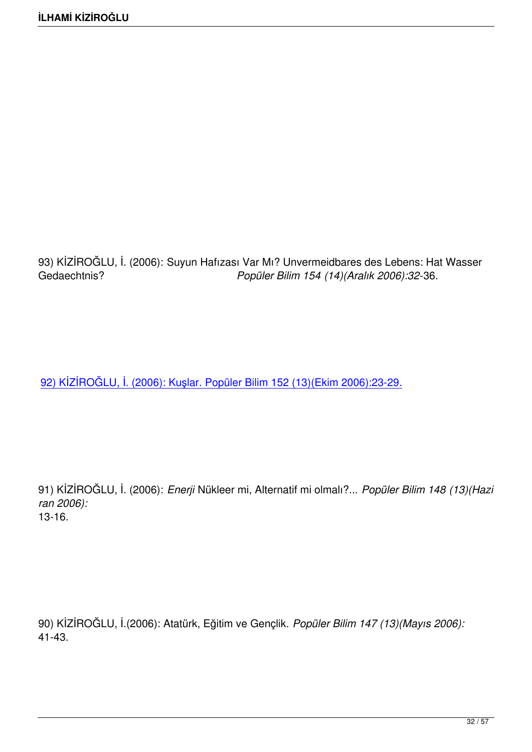93) KİZİROĞLU, İ. (2006): Suyun Hafızası Var Mı? Unvermeidbares des Lebens: Hat Wasser<br>Gedaechtnis? Popüler Bilim 154 (14)(Aralık 2006):32-36. Gedaechtnis? *Popüler Bilim 154 (14)(Aralık 2006):32*-36.

92) KİZİROĞLU, İ. (2006): Kuşlar. Popüler Bilim 152 (13)(Ekim 2006):23-29.

91) KİZİROĞLU, İ. (2006): *Enerji* Nükleer mi, Alternatif mi olmalı?... *Popüler Bilim 148 (13)(Hazi ran 2006):* 13-16.

90) KİZİROĞLU, İ.(2006): Atatürk, Eğitim ve Gençlik. *Popüler Bilim 147 (13)(Mayıs 2006):* 41-43.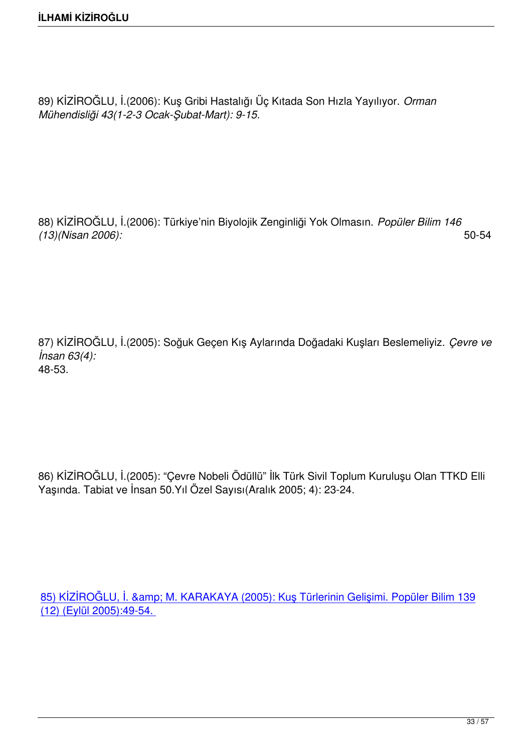89) KİZİROĞLU, İ.(2006): Kuş Gribi Hastalığı Üç Kıtada Son Hızla Yayılıyor. *Orman Mühendisliği 43(1-2-3 Ocak-Şubat-Mart): 9-15.* 

88) KİZİROĞLU, İ.(2006): Türkiye'nin Biyolojik Zenginliği Yok Olmasın. *Popüler Bilim 146 (13)(Nisan 2006):* 50-54

87) KİZİROĞLU, İ.(2005): Soğuk Geçen Kış Aylarında Doğadaki Kuşları Beslemeliyiz. *Çevre ve İnsan 63(4):*  48-53.

86) KİZİROĞLU, İ.(2005): "Çevre Nobeli Ödüllü" İlk Türk Sivil Toplum Kuruluşu Olan TTKD Elli Yaşında. Tabiat ve İnsan 50.Yıl Özel Sayısı(Aralık 2005; 4): 23-24.

85) KİZİROĞLU, İ. & amp; M. KARAKAYA (2005): Kuş Türlerinin Gelişimi. Popüler Bilim 139 (12) (Eylül 2005):49-54.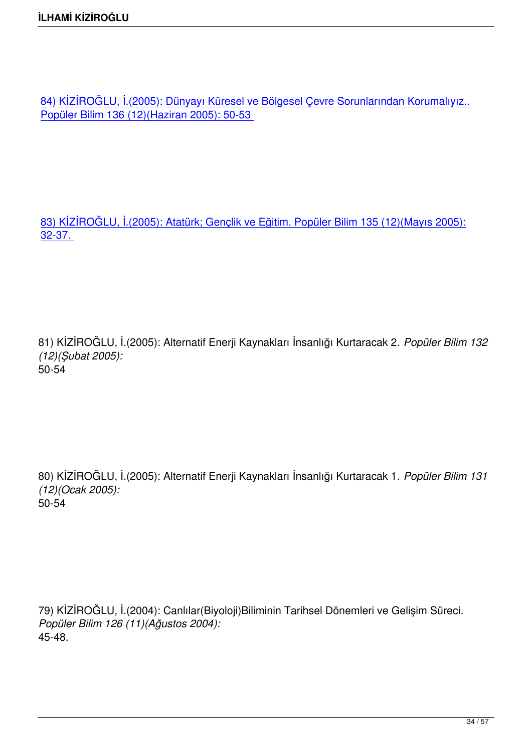84) KİZİROĞLU, İ.(2005): Dünyayı Küresel ve Bölgesel Çevre Sorunlarından Korumalıyız.. Popüler Bilim 136 (12)(Haziran 2005): 50-53

83) KİZİROĞLU, İ.(2005): Atatürk; Gençlik ve Eğitim. Popüler Bilim 135 (12)(Mayıs 2005): 32-37.

81) KİZİROĞLU, İ.(2005): Alternatif Enerji Kaynakları İnsanlığı Kurtaracak 2. *Popüler Bilim 132 (12)(Şubat 2005):* 50-54

80) KİZİROĞLU, İ.(2005): Alternatif Enerji Kaynakları İnsanlığı Kurtaracak 1. *Popüler Bilim 131 (12)(Ocak 2005):* 50-54

79) KİZİROĞLU, İ.(2004): Canlılar(Biyoloji)Biliminin Tarihsel Dönemleri ve Gelişim Süreci. *Popüler Bilim 126 (11)(Ağustos 2004):*  45-48.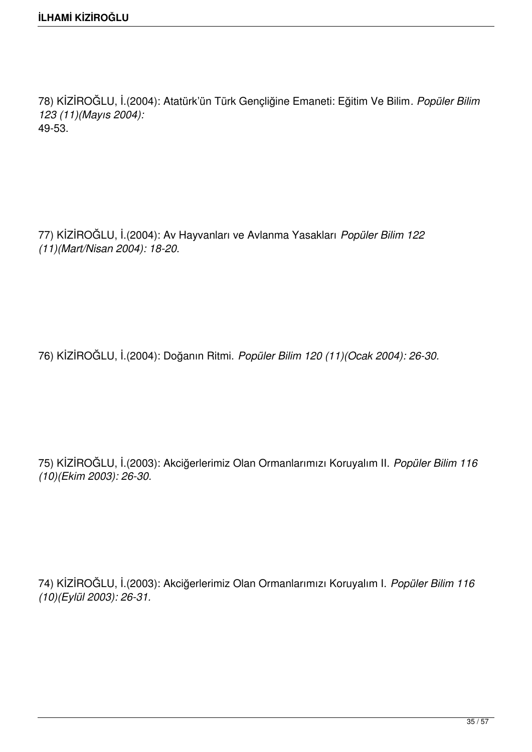78) KİZİROĞLU, İ.(2004): Atatürk'ün Türk Gençliğine Emaneti: Eğitim Ve Bilim*. Popüler Bilim 123 (11)(Mayıs 2004):*  49-53.

77) KİZİROĞLU, İ.(2004): Av Hayvanları ve Avlanma Yasakları *Popüler Bilim 122 (11)(Mart/Nisan 2004): 18-20.* 

76) KİZİROĞLU, İ.(2004): Doğanın Ritmi. *Popüler Bilim 120 (11)(Ocak 2004): 26-30.*

75) KİZİROĞLU, İ.(2003): Akciğerlerimiz Olan Ormanlarımızı Koruyalım II. *Popüler Bilim 116 (10)(Ekim 2003): 26-30.*

74) KİZİROĞLU, İ.(2003): Akciğerlerimiz Olan Ormanlarımızı Koruyalım I. *Popüler Bilim 116 (10)(Eylül 2003): 26-31.*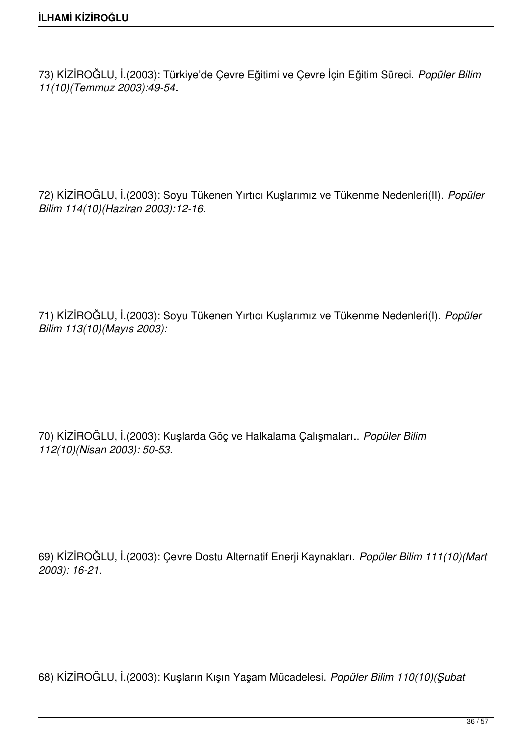73) KİZİROĞLU, İ.(2003): Türkiye'de Çevre Eğitimi ve Çevre İçin Eğitim Süreci. *Popüler Bilim 11(10)(Temmuz 2003):49-54.*

72) KİZİROĞLU, İ.(2003): Soyu Tükenen Yırtıcı Kuşlarımız ve Tükenme Nedenleri(II). *Popüler Bilim 114(10)(Haziran 2003):12-16.*

71) KİZİROĞLU, İ.(2003): Soyu Tükenen Yırtıcı Kuşlarımız ve Tükenme Nedenleri(I). *Popüler Bilim 113(10)(Mayıs 2003):*

70) KİZİROĞLU, İ.(2003): Kuşlarda Göç ve Halkalama Çalışmaları.. *Popüler Bilim 112(10)(Nisan 2003): 50-53.* 

69) KİZİROĞLU, İ.(2003): Çevre Dostu Alternatif Enerji Kaynakları. *Popüler Bilim 111(10)(Mart 2003): 16-21.*

68) KİZİROĞLU, İ.(2003): Kuşların Kışın Yaşam Mücadelesi. *Popüler Bilim 110(10)(Şubat*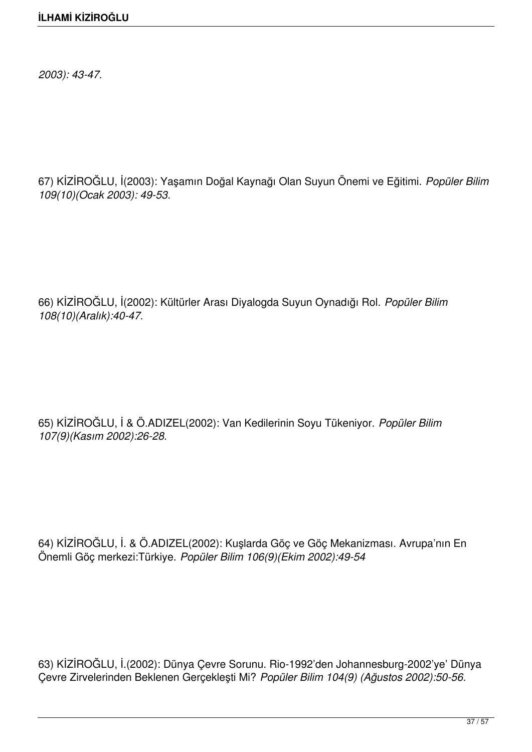*2003): 43-47.*

67) KİZİROĞLU, İ(2003): Yaşamın Doğal Kaynağı Olan Suyun Önemi ve Eğitimi. *Popüler Bilim 109(10)(Ocak 2003): 49-53.*

66) KİZİROĞLU, İ(2002): Kültürler Arası Diyalogda Suyun Oynadığı Rol. *Popüler Bilim 108(10)(Aralık):40-47.*

65) KİZİROĞLU, İ & Ö.ADIZEL(2002): Van Kedilerinin Soyu Tükeniyor. *Popüler Bilim 107(9)(Kasım 2002):26-28.*

64) KİZİROĞLU, İ. & Ö.ADIZEL(2002): Kuşlarda Göç ve Göç Mekanizması. Avrupa'nın En Önemli Göç merkezi:Türkiye. *Popüler Bilim 106(9)(Ekim 2002):49-54*

63) KİZİROĞLU, İ.(2002): Dünya Çevre Sorunu. Rio-1992'den Johannesburg-2002'ye' Dünya Çevre Zirvelerinden Beklenen Gerçekleşti Mi? *Popüler Bilim 104(9) (Ağustos 2002):50-56.*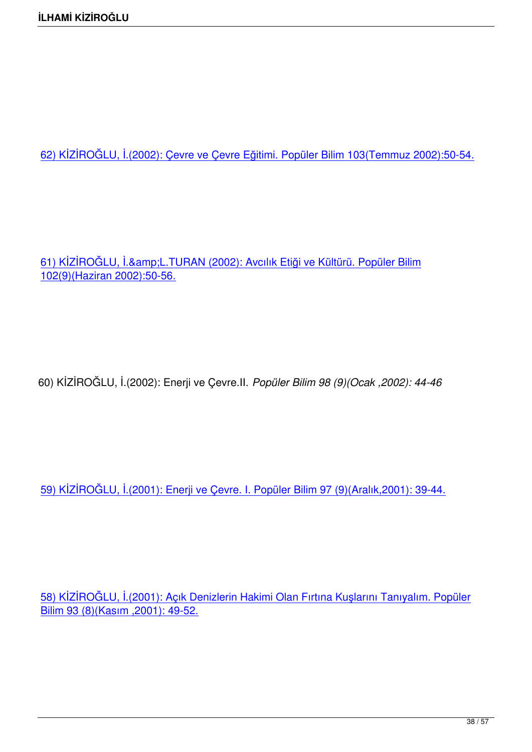62) KİZİROĞLU, İ.(2002): Çevre ve Çevre Eğitimi. Popüler Bilim 103(Temmuz 2002):50-54.

61) KİZİROĞLU, İ.&L.TURAN (2002): Avcılık Etiği ve Kültürü. Popüler Bilim 102(9)(Haziran 2002):50-56.

60) KİZİROĞLU, İ.(2002): Enerji ve Çevre.II. *Popüler Bilim 98 (9)(Ocak ,2002): 44-46*

59) KİZİROĞLU, İ.(2001): Enerji ve Çevre. I. Popüler Bilim 97 (9)(Aralık,2001): 39-44.

58) KİZİROĞLU, İ.(2001): Açık Denizlerin Hakimi Olan Fırtına Kuşlarını Tanıyalım. Popüler Bilim 93 (8)(Kasım ,2001): 49-52.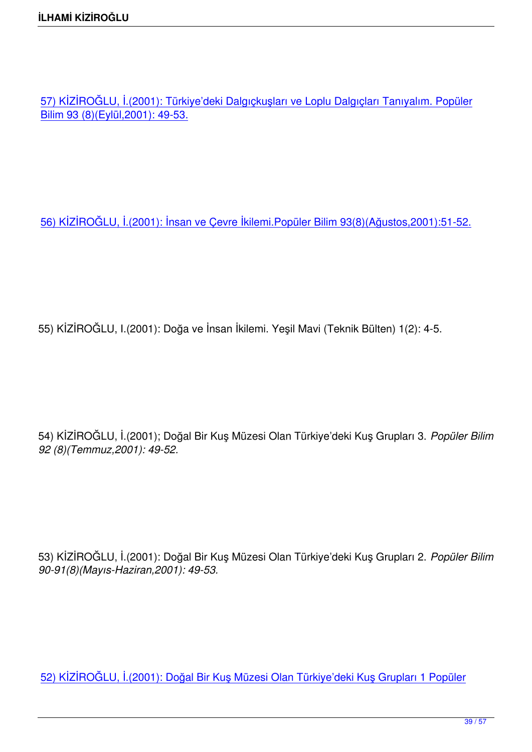57) KİZİROĞLU, İ.(2001): Türkiye'deki Dalgıçkuşları ve Loplu Dalgıçları Tanıyalım. Popüler Bilim 93 (8)(Eylül,2001): 49-53.

56) KİZİROĞLU, İ.(2001): İnsan ve Çevre İkilemi.Popüler Bilim 93(8)(Ağustos,2001):51-52.

55) KİZİROĞLU, I.(2001): Doğa ve İnsan İkilemi. Yeşil Mavi (Teknik Bülten) 1(2): 4-5.

54) KİZİROĞLU, İ.(2001); Doğal Bir Kuş Müzesi Olan Türkiye'deki Kuş Grupları 3. *Popüler Bilim 92 (8)(Temmuz,2001): 49-52.*

53) KİZİROĞLU, İ.(2001): Doğal Bir Kuş Müzesi Olan Türkiye'deki Kuş Grupları 2. *Popüler Bilim 90-91(8)(Mayıs-Haziran,2001): 49-53.*

52) KİZİROĞLU, İ.(2001): Doğal Bir Kuş Müzesi Olan Türkiye'deki Kuş Grupları 1 Popüler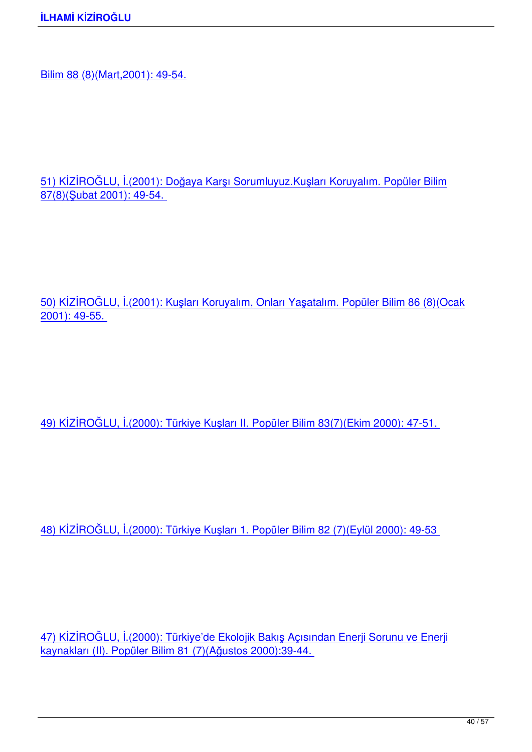51) KİZİROĞLU, İ.(2001): Doğaya Karşı Sorumluyuz.Kuşları Koruyalım. Popüler Bilim 87(8)(Şubat 2001): 49-54.

50) KİZİROĞLU, İ.(2001): Kuşları Koruyalım, Onları Yaşatalım. Popüler Bilim 86 (8)(Ocak 2001): 49-55.

49) KİZİROĞLU, İ.(2000): Türkiye Kuşları II. Popüler Bilim 83(7)(Ekim 2000): 47-51.

48) KİZİROĞLU, İ.(2000): Türkiye Kuşları 1. Popüler Bilim 82 (7)(Eylül 2000): 49-53

47) KİZİROĞLU, İ.(2000): Türkiye'de Ekolojik Bakış Açısından Enerji Sorunu ve Enerji kaynakları (II). Popüler Bilim 81 (7)(Ağustos 2000):39-44.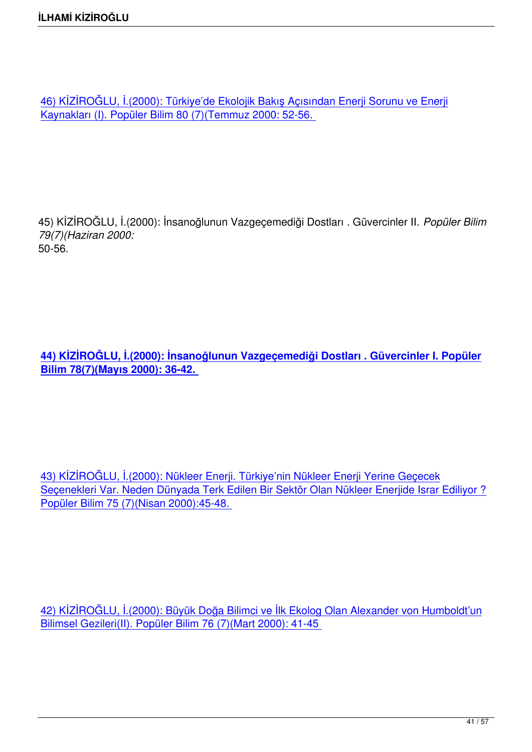46) KİZİROĞLU, İ.(2000): Türkiye'de Ekolojik Bakış Açısından Enerji Sorunu ve Enerji Kaynakları (I). Popüler Bilim 80 (7)(Temmuz 2000: 52-56.

45) KİZİROĞLU, İ.(2000): İnsanoğlunun Vazgeçemediği Dostları . Güvercinler II. *Popüler Bilim 79(7)(Haziran 2000:* 50-56.

**44) KİZİROĞLU, İ.(2000): İnsanoğlunun Vazgeçemediği Dostları . Güvercinler I. Popüler Bilim 78(7)(Mayıs 2000): 36-42.** 

43) KİZİROĞLU, İ.(2000): Nükleer Enerji. Türkiye'nin Nükleer Enerji Yerine Geçecek Seçenekleri Var. Neden Dünyada Terk Edilen Bir Sektör Olan Nükleer Enerjide Israr Ediliyor ? Popüler Bilim 75 (7)(Nisan 2000):45-48.

42) KİZİROĞLU, İ.(2000): Büyük Doğa Bilimci ve İlk Ekolog Olan Alexander von Humboldt'un Bilimsel Gezileri(II). Popüler Bilim 76 (7)(Mart 2000): 41-45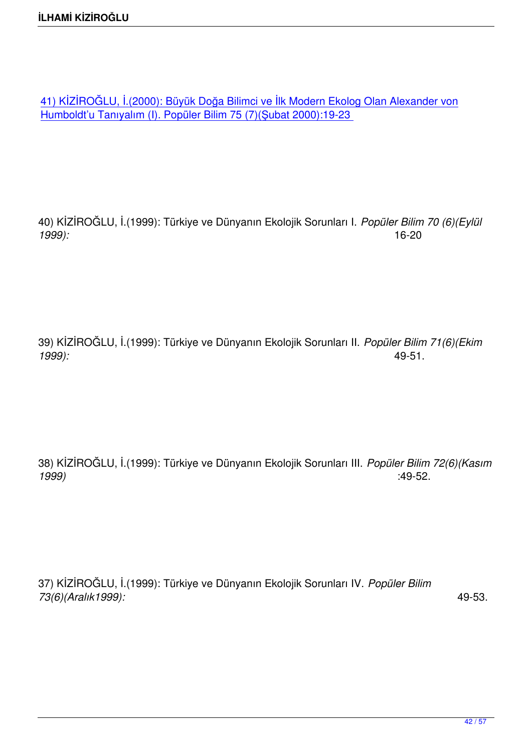41) KİZİROĞLU, İ.(2000): Büyük Doğa Bilimci ve İlk Modern Ekolog Olan Alexander von Humboldt'u Tanıyalım (I). Popüler Bilim 75 (7)(Şubat 2000):19-23

40) KİZİROĞLU, İ.(1999): Türkiye ve Dünyanın Ekolojik Sorunları I. *Popüler Bilim 70 (6)(Eylül 1999):* 16-20

39) KİZİROĞLU, İ.(1999): Türkiye ve Dünyanın Ekolojik Sorunları II. *Popüler Bilim 71(6)(Ekim 1999):* 49-51.

38) KİZİROĞLU, İ.(1999): Türkiye ve Dünyanın Ekolojik Sorunları III. *Popüler Bilim 72(6)(Kasım 1999)* :49-52.

37) KİZİROĞLU, İ.(1999): Türkiye ve Dünyanın Ekolojik Sorunları IV. *Popüler Bilim 73(6)(Aralık1999):* 49-53.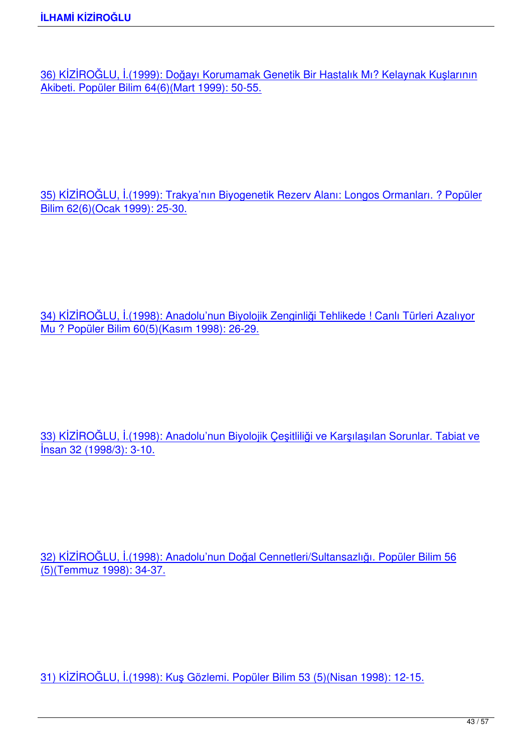36) KİZİROĞLU, İ.(1999): Doğayı Korumamak Genetik Bir Hastalık Mı? Kelaynak Kuşlarının Akibeti. Popüler Bilim 64(6)(Mart 1999): 50-55.

35) KİZİROĞLU, İ.(1999): Trakya'nın Biyogenetik Rezerv Alanı: Longos Ormanları. ? Popüler Bilim 62(6)(Ocak 1999): 25-30.

34) KİZİROĞLU, İ.(1998): Anadolu'nun Biyolojik Zenginliği Tehlikede ! Canlı Türleri Azalıyor Mu ? Popüler Bilim 60(5)(Kasım 1998): 26-29.

33) KİZİROĞLU, İ.(1998): Anadolu'nun Biyolojik Çeşitliliği ve Karşılaşılan Sorunlar. Tabiat ve İnsan 32 (1998/3): 3-10.

32) KİZİROĞLU, İ.(1998): Anadolu'nun Doğal Cennetleri/Sultansazlığı. Popüler Bilim 56 (5)(Temmuz 1998): 34-37.

31) KİZİROĞLU, İ.(1998): Kuş Gözlemi. Popüler Bilim 53 (5)(Nisan 1998): 12-15.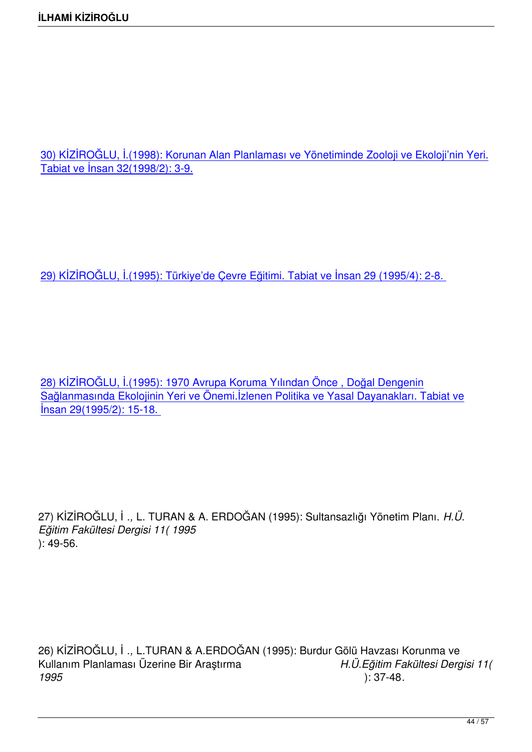30) KİZİROĞLU, İ.(1998): Korunan Alan Planlaması ve Yönetiminde Zooloji ve Ekoloji'nin Yeri. Tabiat ve İnsan 32(1998/2): 3-9.

29) KİZİROĞLU, İ.(1995): Türkiye'de Çevre Eğitimi. Tabiat ve İnsan 29 (1995/4): 2-8.

28) KİZİROĞLU, İ.(1995): 1970 Avrupa Koruma Yılından Önce , Doğal Dengenin Sağlanmasında Ekolojinin Yeri ve Önemi.İzlenen Politika ve Yasal Dayanakları. Tabiat ve İnsan 29(1995/2): 15-18.

27) KİZİROĞLU, İ *.,* L. TURAN & A. ERDOĞAN (1995): Sultansazlığı Yönetim Planı. *H.Ü. Eğitim Fakültesi Dergisi 11( 1995*  $): 49-56.$ 

26) KİZİROĞLU, İ *.,* L.TURAN & A.ERDOĞAN (1995): Burdur Gölü Havzası Korunma ve Kullanım Planlaması Üzerine Bir Arastırma *1995* ): 37-48*.*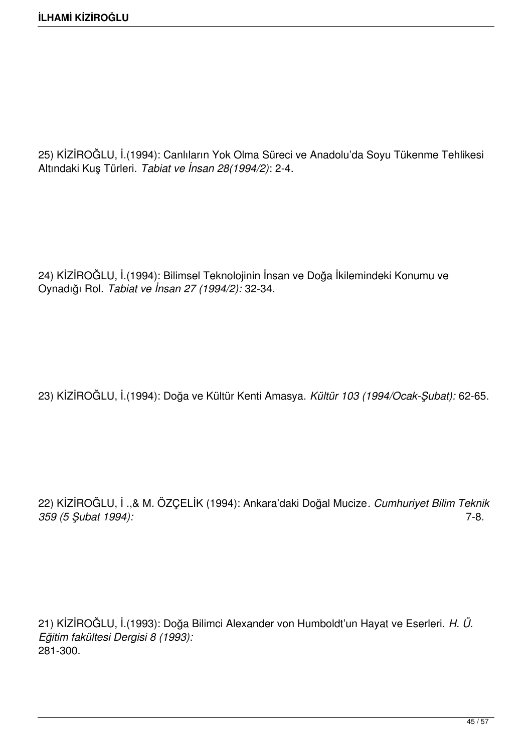25) KİZİROĞLU, İ.(1994): Canlıların Yok Olma Süreci ve Anadolu'da Soyu Tükenme Tehlikesi Altındaki Kuş Türleri. *Tabiat ve İnsan 28(1994/2)*: 2-4.

24) KİZİROĞLU, İ.(1994): Bilimsel Teknolojinin İnsan ve Doğa İkilemindeki Konumu ve Oynadığı Rol. *Tabiat ve İnsan 27 (1994/2):* 32-34.

23) KİZİROĞLU, İ.(1994): Doğa ve Kültür Kenti Amasya. *Kültür 103 (1994/Ocak-Şubat):* 62-65.

22) KİZİROĞLU, İ .,& M. ÖZÇELİK (1994): Ankara'daki Doğal Mucize*. Cumhuriyet Bilim Teknik 359 (5 Şubat 1994):* 7-8.

21) KİZİROĞLU, İ.(1993): Doğa Bilimci Alexander von Humboldt'un Hayat ve Eserleri. *H. Ü. Eğitim fakültesi Dergisi 8 (1993):*  281-300.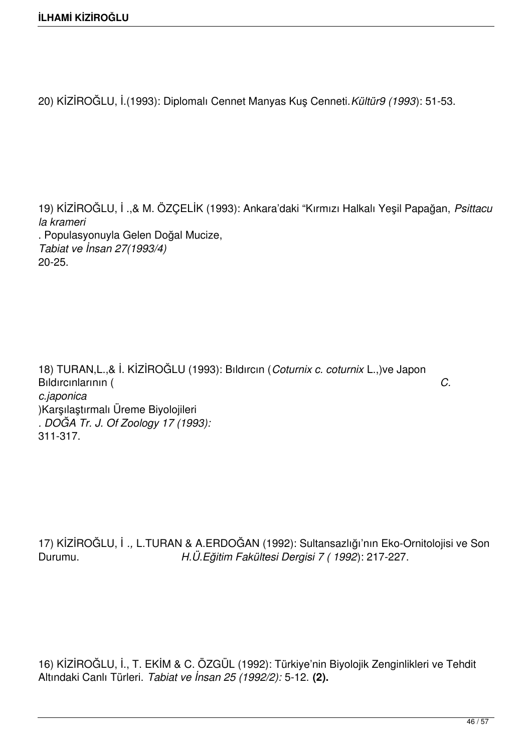20) KİZİROĞLU, İ.(1993): Diplomalı Cennet Manyas Kuş Cenneti.*Kültür9 (1993*): 51-53.

19) KİZİROĞLU, İ .,& M. ÖZÇELİK (1993): Ankara'daki "Kırmızı Halkalı Yeşil Papağan, *Psittacu la krameri* . Populasyonuyla Gelen Doğal Mucize, *Tabiat ve İnsan 27(1993/4)* 20-25.

18) TURAN,L.,& İ. KİZİROĞLU (1993): Bıldırcın (*Coturnix c. coturnix* L.,)ve Japon Bıldırcınlarının ( *C. c.japonica* )Karşılaştırmalı Üreme Biyolojileri *. DOĞA Tr. J. Of Zoology 17 (1993):* 311-317.

17) KİZİROĞLU, İ *.,* L.TURAN & A.ERDOĞAN (1992): Sultansazlığı'nın Eko-Ornitolojisi ve Son Durumu. *H.Ü.Eğitim Fakültesi Dergisi 7 ( 1992*): 217-227.

16) KİZİROĞLU, İ., T. EKİM & C. ÖZGÜL (1992): Türkiye'nin Biyolojik Zenginlikleri ve Tehdit Altındaki Canlı Türleri. *Tabiat ve İnsan 25 (1992/2):* 5-12. **(2).**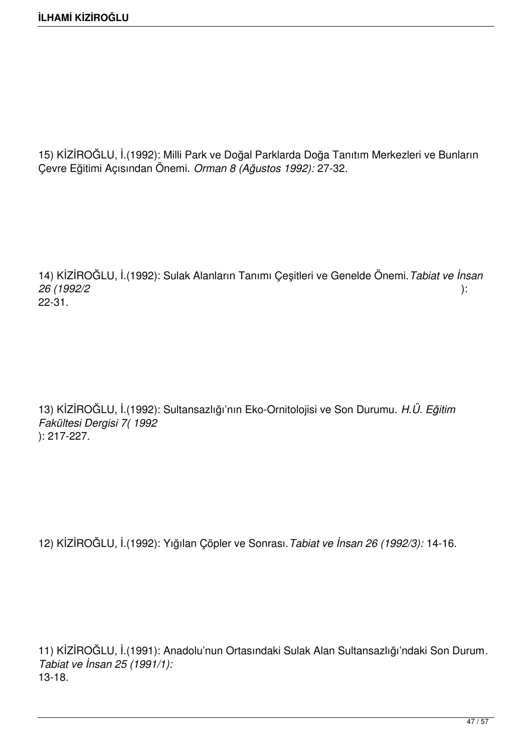15) KİZİROĞLU, İ.(1992): Milli Park ve Doğal Parklarda Doğa Tanıtım Merkezleri ve Bunların Çevre Eğitimi Açısından Önemi. *Orman 8 (Ağustos 1992):* 27-32.

14) KİZİROĞLU, İ.(1992): Sulak Alanların Tanımı Çeşitleri ve Genelde Önemi.*Tabiat ve İnsan 26 (1992/2* ): 22-31.

13) KİZİROĞLU, İ.(1992): Sultansazlığı'nın Eko-Ornitolojisi ve Son Durumu. *H.Ü. Eğitim Fakültesi Dergisi 7( 1992* ): 217-227.

12) KİZİROĞLU, İ.(1992): Yığılan Çöpler ve Sonrası.*Tabiat ve İnsan 26 (1992/3):* 14-16.

11) KİZİROĞLU, İ.(1991): Anadolu'nun Ortasındaki Sulak Alan Sultansazlığı'ndaki Son Durum*. Tabiat ve İnsan 25 (1991/1):*  13-18.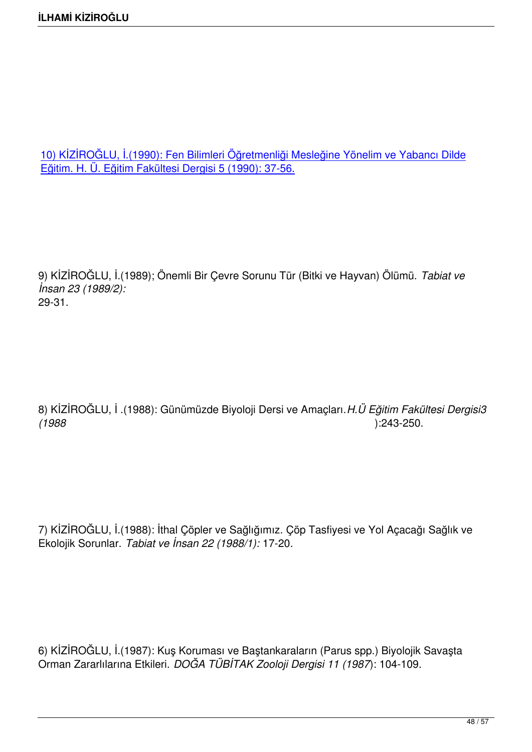10) KİZİROĞLU, İ.(1990): Fen Bilimleri Öğretmenliği Mesleğine Yönelim ve Yabancı Dilde Eğitim. H. Ü. Eğitim Fakültesi Dergisi 5 (1990): 37-56.

9) KİZİROĞLU, İ.(1989); Önemli Bir Çevre Sorunu Tür (Bitki ve Hayvan) Ölümü. *Tabiat ve İnsan 23 (1989/2):* 29-31.

8) KİZİROĞLU, İ .(1988): Günümüzde Biyoloji Dersi ve Amaçları.*H.Ü Eğitim Fakültesi Dergisi3 (1988* ):243-250.

7) KİZİROĞLU, İ.(1988): İthal Çöpler ve Sağlığımız. Çöp Tasfiyesi ve Yol Açacağı Sağlık ve Ekolojik Sorunlar. *Tabiat ve İnsan 22 (1988/1):* 17-20.

6) KİZİROĞLU, İ.(1987): Kuş Koruması ve Baştankaraların (Parus spp.) Biyolojik Savaşta Orman Zararlılarına Etkileri. *DOĞA TÜBİTAK Zooloji Dergisi 11 (1987*): 104-109.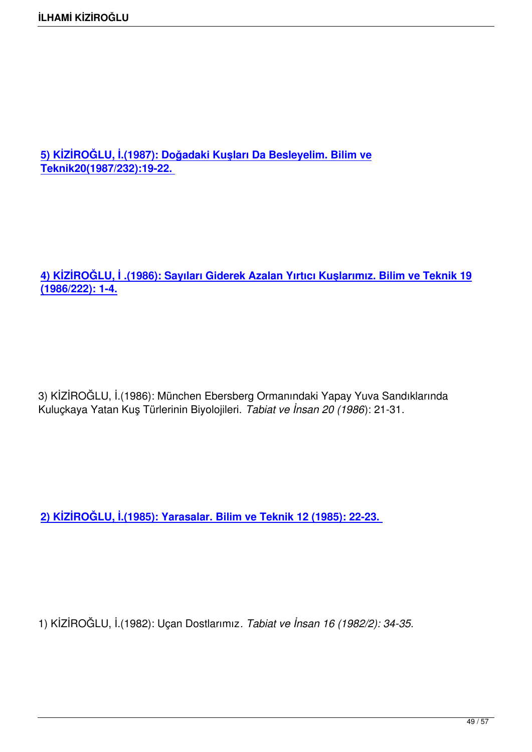**5) KİZİROĞLU, İ.(1987): Doğadaki Kuşları Da Besleyelim. Bilim ve Teknik20(1987/232):19-22.** 

**4) KİZİROĞLU, İ .(1986): Sayıları Giderek Azalan Yırtıcı Kuşlarımız. Bilim ve Teknik 19 (1986/222): 1-4.**

3) KİZİROĞLU, İ.(1986): München Ebersberg Ormanındaki Yapay Yuva Sandıklarında Kuluçkaya Yatan Kuş Türlerinin Biyolojileri. *Tabiat ve İnsan 20 (1986*): 21-31.

**2) KİZİROĞLU, İ.(1985): Yarasalar. Bilim ve Teknik 12 (1985): 22-23.** 

1) KİZİROĞLU, İ.(1982): Uçan Dostlarımız*. Tabiat ve İnsan 16 (1982/2): 34-35.*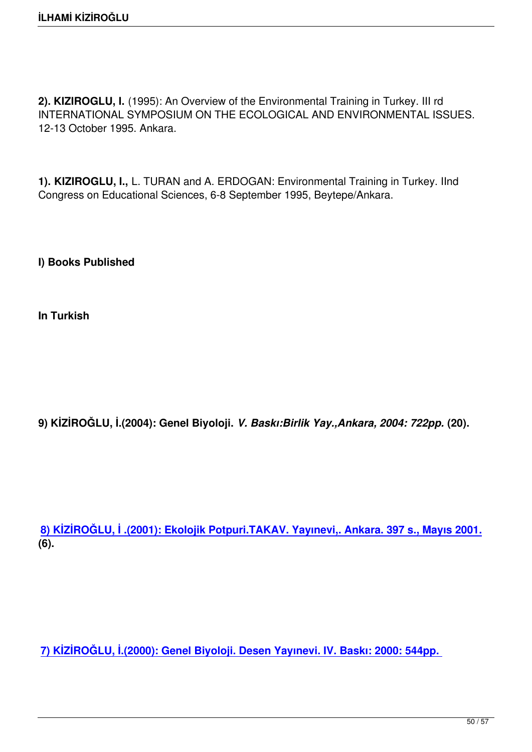**2). KIZIROGLU, I.** (1995): An Overview of the Environmental Training in Turkey. III rd INTERNATIONAL SYMPOSIUM ON THE ECOLOGICAL AND ENVIRONMENTAL ISSUES. 12-13 October 1995. Ankara.

**1). KIZIROGLU, I.,** L. TURAN and A. ERDOGAN: Environmental Training in Turkey. IInd Congress on Educational Sciences, 6-8 September 1995, Beytepe/Ankara.

**I) Books Published**

**In Turkish**

**9) KİZİROĞLU, İ.(2004): Genel Biyoloji.** *V. Baskı:Birlik Yay.,Ankara, 2004: 722pp.* **(20).**

**8) KİZİROĞLU, İ .(2001): Ekolojik Potpuri.TAKAV. Yayınevi,. Ankara. 397 s., Mayıs 2001. (6).**

**7) KİZİROĞLU, İ.(2000): Genel Biyoloji. Desen Yayınevi. IV. Baskı: 2000: 544pp.**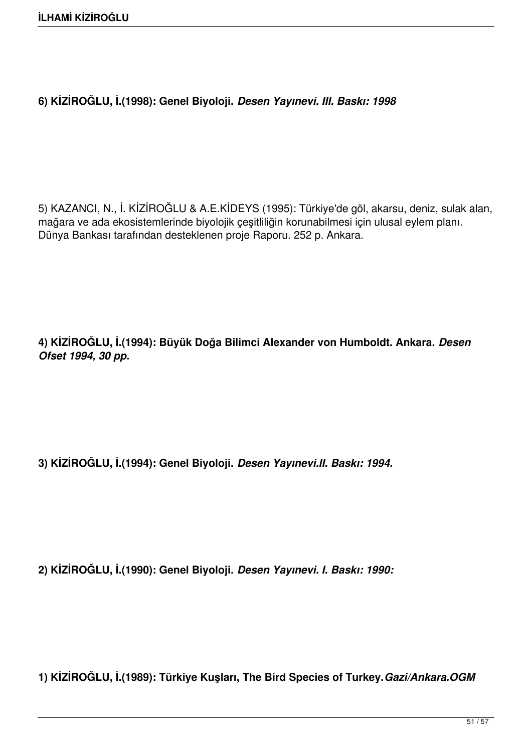**6) KİZİROĞLU, İ.(1998): Genel Biyoloji.** *Desen Yayınevi. III. Baskı: 1998* 

5) KAZANCI, N., İ. KİZİROĞLU & A.E.KİDEYS (1995): Türkiye'de göl, akarsu, deniz, sulak alan, mağara ve ada ekosistemlerinde biyolojik çeşitliliğin korunabilmesi için ulusal eylem planı. Dünya Bankası tarafından desteklenen proje Raporu. 252 p. Ankara.

**4) KİZİROĞLU, İ.(1994): Büyük Doğa Bilimci Alexander von Humboldt. Ankara.** *Desen Ofset 1994, 30 pp.* 

**3) KİZİROĞLU, İ.(1994): Genel Biyoloji.** *Desen Yayınevi.II. Baskı: 1994.* 

**2) KİZİROĞLU, İ.(1990): Genel Biyoloji.** *Desen Yayınevi. I. Baskı: 1990:* 

**1) KİZİROĞLU, İ.(1989): Türkiye Kuşları, The Bird Species of Turkey.***Gazi/Ankara.OGM*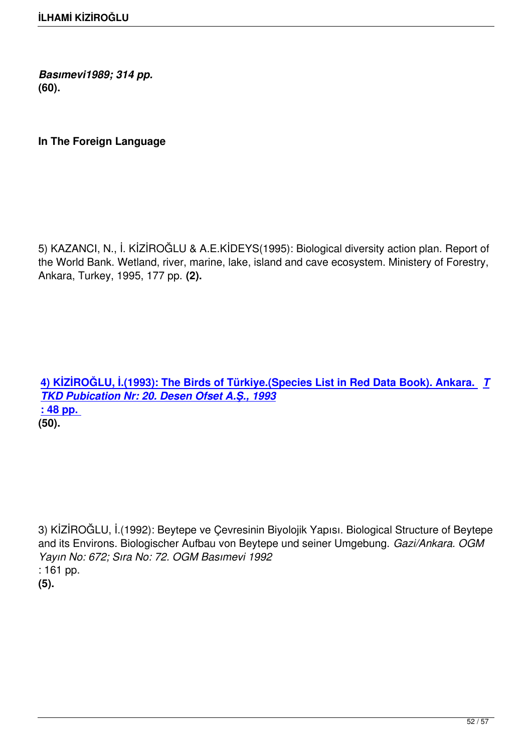*Basımevi1989; 314 pp.*  **(60).**

**In The Foreign Language**

5) KAZANCI, N., İ. KİZİROĞLU & A.E.KİDEYS(1995): Biological diversity action plan. Report of the World Bank. Wetland, river, marine, lake, island and cave ecosystem. Ministery of Forestry, Ankara, Turkey, 1995, 177 pp. **(2).**

**4) KİZİROĞLU, İ.(1993): The Birds of Türkiye.(Species List in Red Data Book). Ankara.** *T TKD Pubication Nr: 20. Desen Ofset A.Ş., 1993* **: 48 pp. [\(50\).](http://www.ikiziroglu.com/kusredlist.jpg)**

3) KİZİROĞLU, İ.(1992): Beytepe ve Çevresinin Biyolojik Yapısı. Biological Structure of Beytepe and its Environs. Biologischer Aufbau von Beytepe und seiner Umgebung. *Gazi/Ankara. OGM Yayın No: 672; Sıra No: 72. OGM Basımevi 1992* : 161 pp. **(5).**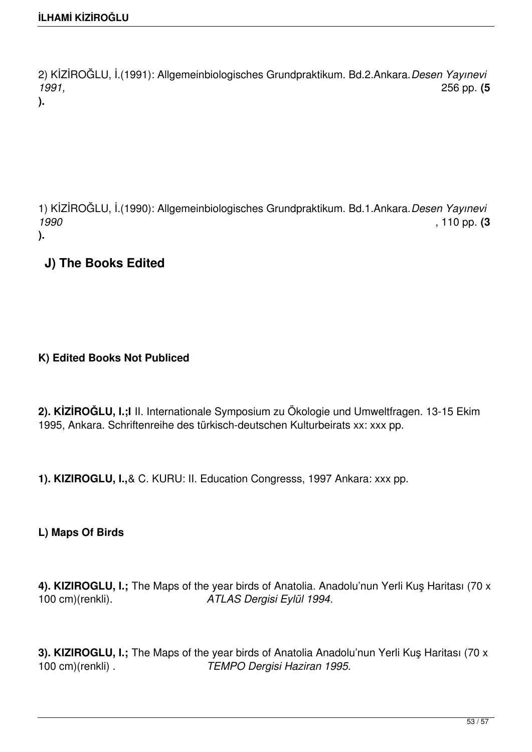2) KİZİROĞLU, İ.(1991): Allgemeinbiologisches Grundpraktikum. Bd.2.Ankara.*Desen Yayınevi 1991,* 256 pp. **(5 ).**

1) KİZİROĞLU, İ.(1990): Allgemeinbiologisches Grundpraktikum. Bd.1.Ankara.*Desen Yayınevi 1990* , 110 pp. **(3**

**).**

**J) The Books Edited**

## **K) Edited Books Not Publiced**

**2). KİZİROĞLU, I.;I** II. Internationale Symposium zu Ökologie und Umweltfragen. 13-15 Ekim 1995, Ankara. Schriftenreihe des türkisch-deutschen Kulturbeirats xx: xxx pp.

**1). KIZIROGLU, I.,**& C. KURU: II. Education Congresss, 1997 Ankara: xxx pp.

## **L) Maps Of Birds**

**4). KIZIROGLU, I.;** The Maps of the year birds of Anatolia. Anadolu'nun Yerli Kuş Haritası (70 x 100 cm)(renkli). *ATLAS Dergisi Eylül 1994.*

**3). KIZIROGLU, I.;** The Maps of the year birds of Anatolia Anadolu'nun Yerli Kuş Haritası (70 x 100 cm)(renkli) . *TEMPO Dergisi Haziran 1995.*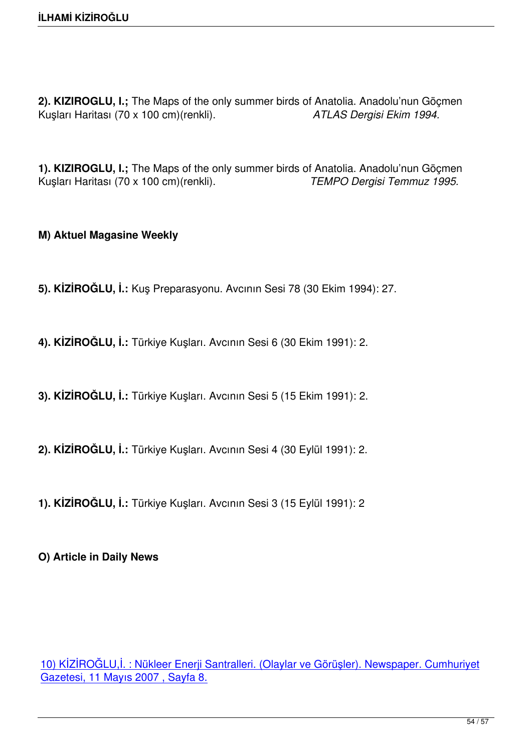**2). KIZIROGLU, I.;** The Maps of the only summer birds of Anatolia. Anadolu'nun Göçmen Kuşları Haritası (70 x 100 cm)(renkli). *ATLAS Dergisi Ekim 1994.*

**1). KIZIROGLU, I.;** The Maps of the only summer birds of Anatolia. Anadolu'nun Göçmen Kuşları Haritası (70 x 100 cm)(renkli). *TEMPO Dergisi Temmuz 1995.*

## **M) Aktuel Magasine Weekly**

- **5). KİZİROĞLU, İ.:** Kuş Preparasyonu. Avcının Sesi 78 (30 Ekim 1994): 27.
- **4). KİZİROĞLU, İ.:** Türkiye Kuşları. Avcının Sesi 6 (30 Ekim 1991): 2.
- **3). KİZİROĞLU, İ.:** Türkiye Kuşları. Avcının Sesi 5 (15 Ekim 1991): 2.
- **2). KİZİROĞLU, İ.:** Türkiye Kuşları. Avcının Sesi 4 (30 Eylül 1991): 2.
- **1). KİZİROĞLU, İ.:** Türkiye Kuşları. Avcının Sesi 3 (15 Eylül 1991): 2
- **O) Article in Daily News**

10) KİZİROĞLU,İ. : Nükleer Enerji Santralleri. (Olaylar ve Görüşler). Newspaper. Cumhuriyet Gazetesi, 11 Mayıs 2007 , Sayfa 8.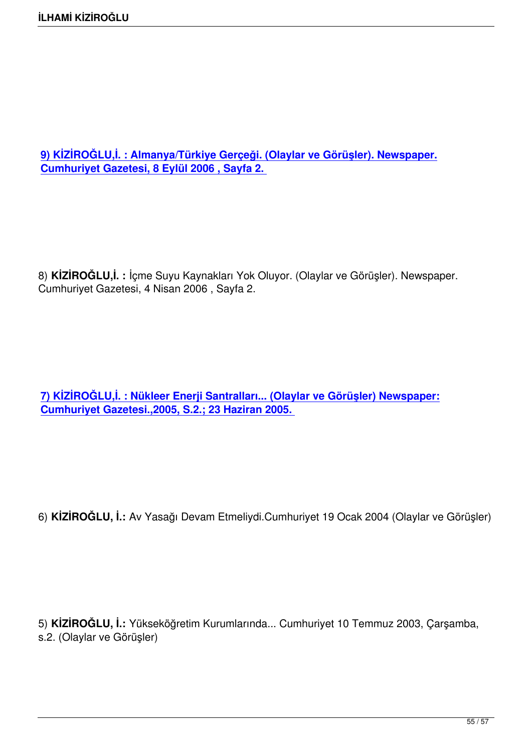**9) KİZİROĞLU,İ. : Almanya/Türkiye Gerçeği. (Olaylar ve Görüşler). Newspaper. Cumhuriyet Gazetesi, 8 Eylül 2006 , Sayfa 2.** 

8) **KİZİROĞLU,İ. :** İçme Suyu Kaynakları Yok Oluyor. (Olaylar ve Görüşler). Newspaper. Cumhuriyet Gazetesi, 4 Nisan 2006 , Sayfa 2.

**7) KİZİROĞLU,İ. : Nükleer Enerji Santralları... (Olaylar ve Görüşler) Newspaper: Cumhuriyet Gazetesi.,2005, S.2.; 23 Haziran 2005.** 

6) **KİZİROĞLU, İ.:** Av Yasağı Devam Etmeliydi.Cumhuriyet 19 Ocak 2004 (Olaylar ve Görüşler)

5) **KİZİROĞLU, İ.:** Yükseköğretim Kurumlarında... Cumhuriyet 10 Temmuz 2003, Çarşamba, s.2. (Olaylar ve Görüşler)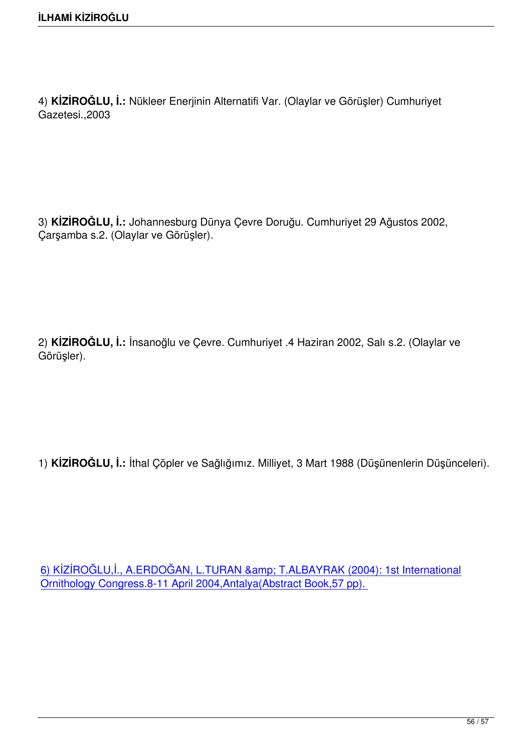4) **KİZİROĞLU, İ.:** Nükleer Enerjinin Alternatifi Var. (Olaylar ve Görüşler) Cumhuriyet Gazetesi.,2003

3) **KİZİROĞLU, İ.:** Johannesburg Dünya Çevre Doruğu. Cumhuriyet 29 Ağustos 2002, Çarşamba s.2. (Olaylar ve Görüşler).

2) **KİZİROĞLU, İ.:** İnsanoğlu ve Çevre. Cumhuriyet .4 Haziran 2002, Salı s.2. (Olaylar ve Görüşler).

1) **KİZİROĞLU, İ.:** İthal Çöpler ve Sağlığımız. Milliyet, 3 Mart 1988 (Düşünenlerin Düşünceleri).

6) KİZİROĞLU,İ., A.ERDOĞAN, L.TURAN & amp; T.ALBAYRAK (2004): 1st International Ornithology Congress.8-11 April 2004,Antalya(Abstract Book,57 pp).